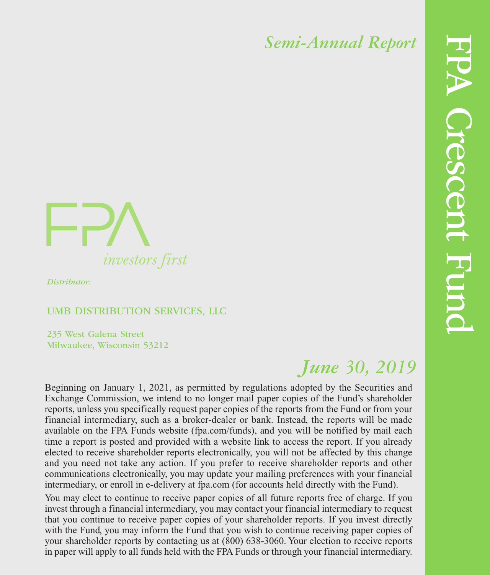

*Distributor:*

#### UMB DISTRIBUTION SERVICES, LLC

235 West Galena Street Milwaukee, Wisconsin 53212

# *June 30, 2019*

Beginning on January 1, 2021, as permitted by regulations adopted by the Securities and Exchange Commission, we intend to no longer mail paper copies of the Fund's shareholder reports, unless you specifically request paper copies of the reports from the Fund or from your financial intermediary, such as a broker-dealer or bank. Instead, the reports will be made available on the FPA Funds website (fpa.com/funds), and you will be notified by mail each time a report is posted and provided with a website link to access the report. If you already elected to receive shareholder reports electronically, you will not be affected by this change and you need not take any action. If you prefer to receive shareholder reports and other communications electronically, you may update your mailing preferences with your financial intermediary, or enroll in e-delivery at fpa.com (for accounts held directly with the Fund).

You may elect to continue to receive paper copies of all future reports free of charge. If you invest through a financial intermediary, you may contact your financial intermediary to request that you continue to receive paper copies of your shareholder reports. If you invest directly with the Fund, you may inform the Fund that you wish to continue receiving paper copies of your shareholder reports by contacting us at (800) 638-3060. Your election to receive reports in paper will apply to all funds held with the FPA Funds or through your financial intermediary.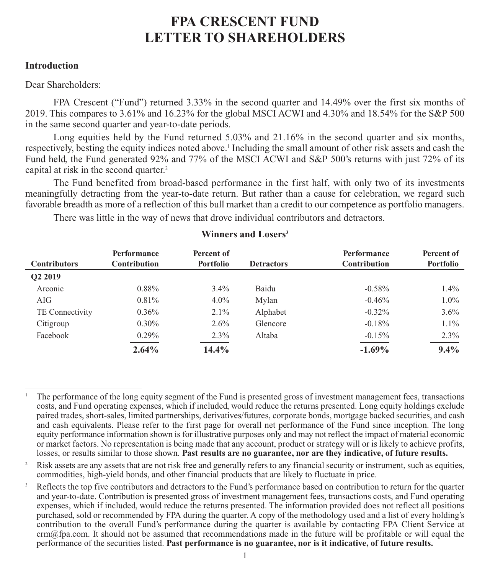#### **Introduction**

#### Dear Shareholders:

FPA Crescent ("Fund") returned 3.33% in the second quarter and 14.49% over the first six months of 2019. This compares to 3.61% and 16.23% for the global MSCI ACWI and 4.30% and 18.54% for the S&P 500 in the same second quarter and year-to-date periods.

Long equities held by the Fund returned 5.03% and 21.16% in the second quarter and six months, respectively, besting the equity indices noted above.<sup>1</sup> Including the small amount of other risk assets and cash the Fund held, the Fund generated 92% and 77% of the MSCI ACWI and S&P 500's returns with just 72% of its capital at risk in the second quarter.<sup>2</sup>

The Fund benefited from broad-based performance in the first half, with only two of its investments meaningfully detracting from the year-to-date return. But rather than a cause for celebration, we regard such favorable breadth as more of a reflection of this bull market than a credit to our competence as portfolio managers.

There was little in the way of news that drove individual contributors and detractors.

| <b>Contributors</b> | Performance<br>Contribution | Percent of<br><b>Portfolio</b> | <b>Detractors</b> | <b>Performance</b><br>Contribution | Percent of<br>Portfolio |
|---------------------|-----------------------------|--------------------------------|-------------------|------------------------------------|-------------------------|
| O <sub>2</sub> 2019 |                             |                                |                   |                                    |                         |
| Arconic             | $0.88\%$                    | $3.4\%$                        | Baidu             | $-0.58%$                           | 1.4%                    |
| AIG                 | $0.81\%$                    | $4.0\%$                        | Mylan             | $-0.46%$                           | $1.0\%$                 |
| TE Connectivity     | $0.36\%$                    | $2.1\%$                        | Alphabet          | $-0.32\%$                          | $3.6\%$                 |
| Citigroup           | $0.30\%$                    | $2.6\%$                        | Glencore          | $-0.18%$                           | $1.1\%$                 |
| Facebook            | $0.29\%$                    | $2.3\%$                        | Altaba            | $-0.15%$                           | 2.3%                    |
|                     | 2.64%                       | 14.4%                          |                   | $-1.69\%$                          | $9.4\%$                 |

#### **Winners and Losers3**

<sup>1</sup> The performance of the long equity segment of the Fund is presented gross of investment management fees, transactions costs, and Fund operating expenses, which if included, would reduce the returns presented. Long equity holdings exclude paired trades, short-sales, limited partnerships, derivatives/futures, corporate bonds, mortgage backed securities, and cash and cash equivalents. Please refer to the first page for overall net performance of the Fund since inception. The long equity performance information shown is for illustrative purposes only and may not reflect the impact of material economic or market factors. No representation is being made that any account, product or strategy will or is likely to achieve profits, losses, or results similar to those shown. **Past results are no guarantee, nor are they indicative, of future results.**

<sup>&</sup>lt;sup>2</sup> Risk assets are any assets that are not risk free and generally refers to any financial security or instrument, such as equities, commodities, high-yield bonds, and other financial products that are likely to fluctuate in price.

<sup>3</sup> Reflects the top five contributors and detractors to the Fund's performance based on contribution to return for the quarter and year-to-date. Contribution is presented gross of investment management fees, transactions costs, and Fund operating expenses, which if included, would reduce the returns presented. The information provided does not reflect all positions purchased, sold or recommended by FPA during the quarter. A copy of the methodology used and a list of every holding's contribution to the overall Fund's performance during the quarter is available by contacting FPA Client Service at  $\text{crm@fba.com}$ . It should not be assumed that recommendations made in the future will be profitable or will equal the performance of the securities listed. **Past performance is no guarantee, nor is it indicative, of future results.**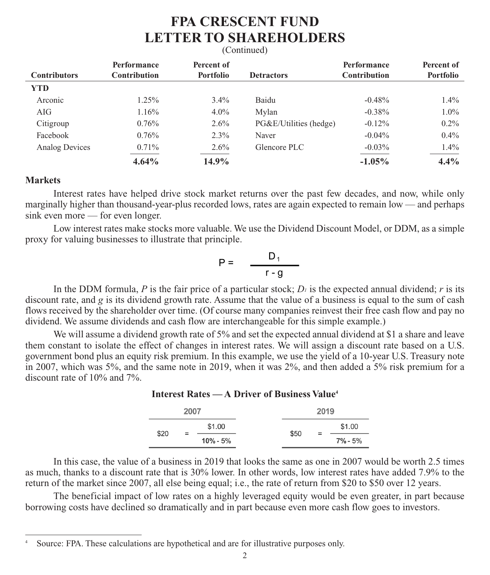### **FPA CRESCENT FUND LETTER TO SHAREHOLDERS** (Continued)

### **Performance** Percent of **Performance** Percent of **Contributors Contribution Portfolio Detractors Contribution Portfolio YTD** Arconic 1.25% 3.4% Baidu -0.48% 1.4% AIG 1.16%  $4.0\%$  Mylan  $-0.38\%$  1.0% Citigroup  $0.76\%$   $2.6\%$  PG&E/Utilities (hedge)  $-0.12\%$  0.2% Facebook 0.76% 2.3% Naver -0.04% 0.4% 0.4% Analog Devices 0.71% 2.6% Glencore PLC -0.03% 1.4%  **4.64% 14.9% -1.05% 4.4%**

#### **Markets**

Interest rates have helped drive stock market returns over the past few decades, and now, while only marginally higher than thousand-year-plus recorded lows, rates are again expected to remain low — and perhaps sink even more — for even longer.

Low interest rates make stocks more valuable. We use the Dividend Discount Model, or DDM, as a simple proxy for valuing businesses to illustrate that principle.

$$
P = \frac{D_1}{r - g}
$$

In the DDM formula, *P* is the fair price of a particular stock;  $D_i$  is the expected annual dividend; *r* is its discount rate, and *g* is its dividend growth rate. Assume that the value of a business is equal to the sum of cash flows received by the shareholder over time. (Of course many companies reinvest their free cash flow and pay no dividend. We assume dividends and cash flow are interchangeable for this simple example.)

We will assume a dividend growth rate of 5% and set the expected annual dividend at \$1 a share and leave them constant to isolate the effect of changes in interest rates. We will assign a discount rate based on a U.S. government bond plus an equity risk premium. In this example, we use the yield of a 10-year U.S. Treasury note in 2007, which was 5%, and the same note in 2019, when it was 2%, and then added a 5% risk premium for a discount rate of 10% and 7%.

#### **Interest Rates — A Driver of Business Value4**

|      | 2007 |                     |      | 2019 |               |
|------|------|---------------------|------|------|---------------|
| \$20 |      | \$1.00              |      | $=$  | \$1.00        |
|      |      | $=$<br>$10\% - 5\%$ | \$50 |      | $7\%$ - $5\%$ |

In this case, the value of a business in 2019 that looks the same as one in 2007 would be worth 2.5 times as much, thanks to a discount rate that is 30% lower. In other words, low interest rates have added 7.9% to the return of the market since 2007, all else being equal; i.e., the rate of return from \$20 to \$50 over 12 years.

The beneficial impact of low rates on a highly leveraged equity would be even greater, in part because borrowing costs have declined so dramatically and in part because even more cash flow goes to investors.

Source: FPA. These calculations are hypothetical and are for illustrative purposes only.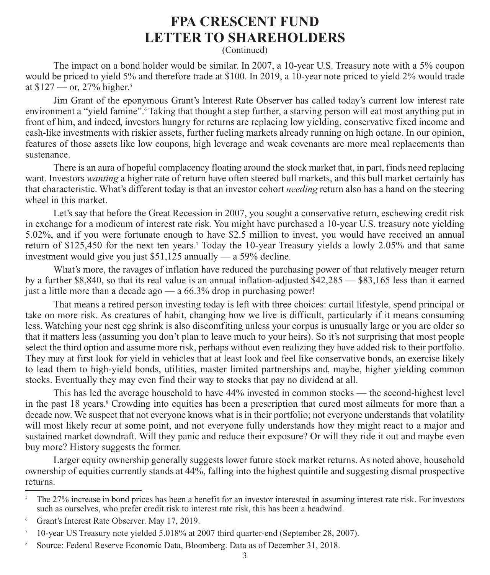(Continued)

The impact on a bond holder would be similar. In 2007, a 10-year U.S. Treasury note with a 5% coupon would be priced to yield 5% and therefore trade at \$100. In 2019, a 10-year note priced to yield 2% would trade at  $$127$  — or, 27% higher.<sup>5</sup>

Jim Grant of the eponymous Grant's Interest Rate Observer has called today's current low interest rate environment a "yield famine". Taking that thought a step further, a starving person will eat most anything put in front of him, and indeed, investors hungry for returns are replacing low yielding, conservative fixed income and cash-like investments with riskier assets, further fueling markets already running on high octane. In our opinion, features of those assets like low coupons, high leverage and weak covenants are more meal replacements than sustenance.

There is an aura of hopeful complacency floating around the stock market that, in part, finds need replacing want. Investors *wanting* a higher rate of return have often steered bull markets, and this bull market certainly has that characteristic. What's different today is that an investor cohort *needing* return also has a hand on the steering wheel in this market.

Let's say that before the Great Recession in 2007, you sought a conservative return, eschewing credit risk in exchange for a modicum of interest rate risk. You might have purchased a 10-year U.S. treasury note yielding 5.02%, and if you were fortunate enough to have \$2.5 million to invest, you would have received an annual return of \$125,450 for the next ten years.7 Today the 10-year Treasury yields a lowly 2.05% and that same investment would give you just \$51,125 annually — a 59% decline.

What's more, the ravages of inflation have reduced the purchasing power of that relatively meager return by a further \$8,840, so that its real value is an annual inflation-adjusted \$42,285 — \$83,165 less than it earned just a little more than a decade ago — a 66.3% drop in purchasing power!

That means a retired person investing today is left with three choices: curtail lifestyle, spend principal or take on more risk. As creatures of habit, changing how we live is difficult, particularly if it means consuming less. Watching your nest egg shrink is also discomfiting unless your corpus is unusually large or you are older so that it matters less (assuming you don't plan to leave much to your heirs). So it's not surprising that most people select the third option and assume more risk, perhaps without even realizing they have added risk to their portfolio. They may at first look for yield in vehicles that at least look and feel like conservative bonds, an exercise likely to lead them to high-yield bonds, utilities, master limited partnerships and, maybe, higher yielding common stocks. Eventually they may even find their way to stocks that pay no dividend at all.

This has led the average household to have 44% invested in common stocks — the second-highest level in the past 18 years.<sup>8</sup> Crowding into equities has been a prescription that cured most ailments for more than a decade now. We suspect that not everyone knows what is in their portfolio; not everyone understands that volatility will most likely recur at some point, and not everyone fully understands how they might react to a major and sustained market downdraft. Will they panic and reduce their exposure? Or will they ride it out and maybe even buy more? History suggests the former.

Larger equity ownership generally suggests lower future stock market returns. As noted above, household ownership of equities currently stands at 44%, falling into the highest quintile and suggesting dismal prospective returns.

The 27% increase in bond prices has been a benefit for an investor interested in assuming interest rate risk. For investors such as ourselves, who prefer credit risk to interest rate risk, this has been a headwind.

<sup>6</sup> Grant's Interest Rate Observer. May 17, 2019.

<sup>7</sup> 10-year US Treasury note yielded 5.018% at 2007 third quarter-end (September 28, 2007).

<sup>8</sup> Source: Federal Reserve Economic Data, Bloomberg. Data as of December 31, 2018.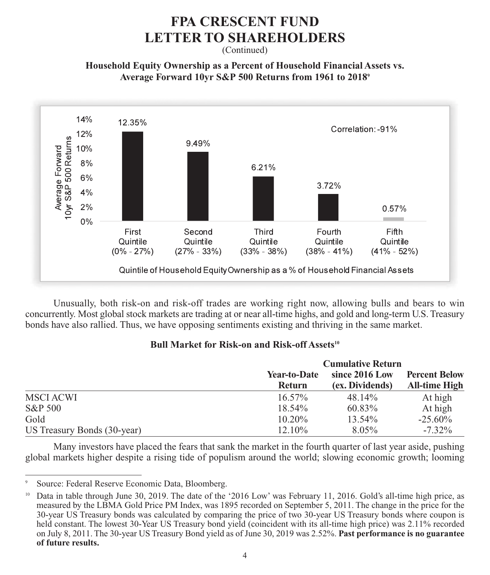(Continued)

#### **Household Equity Ownership as a Percent of Household Financial Assets vs. Average Forward 10yr S&P 500 Returns from 1961 to 20189**



Unusually, both risk-on and risk-off trades are working right now, allowing bulls and bears to win concurrently. Most global stock markets are trading at or near all-time highs, and gold and long-term U.S. Treasury bonds have also rallied. Thus, we have opposing sentiments existing and thriving in the same market.

#### **Bull Market for Risk-on and Risk-off Assets<sup>10</sup>**

|                             |               | <b>Cumulative Return</b> |                      |  |  |
|-----------------------------|---------------|--------------------------|----------------------|--|--|
|                             | Year-to-Date  | since 2016 Low           | <b>Percent Below</b> |  |  |
|                             | <b>Return</b> | (ex. Dividends)          | <b>All-time High</b> |  |  |
| MSCI ACWI                   | $16.57\%$     | 48.14%                   | At high              |  |  |
| S&P 500                     | $18.54\%$     | 60.83%                   | At high              |  |  |
| Gold                        | $10.20\%$     | 13.54%                   | $-25.60\%$           |  |  |
| US Treasury Bonds (30-year) | 12.10%        | $8.05\%$                 | $-7.32\%$            |  |  |

Many investors have placed the fears that sank the market in the fourth quarter of last year aside, pushing global markets higher despite a rising tide of populism around the world; slowing economic growth; looming

Source: Federal Reserve Economic Data, Bloomberg.

<sup>&</sup>lt;sup>10</sup> Data in table through June 30, 2019. The date of the '2016 Low' was February 11, 2016. Gold's all-time high price, as measured by the LBMA Gold Price PM Index, was 1895 recorded on September 5, 2011. The change in the price for the 30-year US Treasury bonds was calculated by comparing the price of two 30-year US Treasury bonds where coupon is held constant. The lowest 30-Year US Treasury bond yield (coincident with its all-time high price) was 2.11% recorded on July 8, 2011. The 30-year US Treasury Bond yield as of June 30, 2019 was 2.52%. **Past performance is no guarantee of future results.**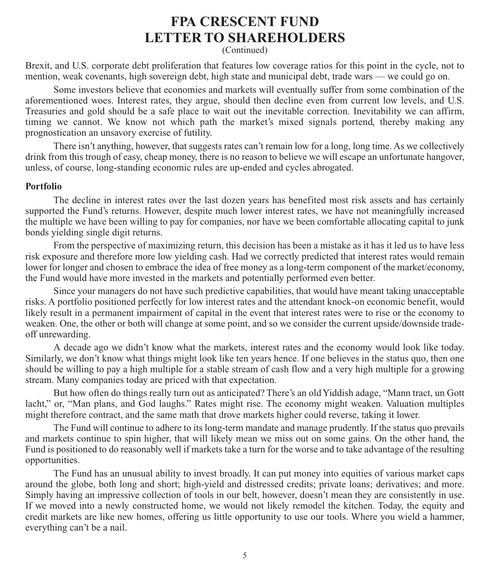(Continued)

Brexit, and U.S. corporate debt proliferation that features low coverage ratios for this point in the cycle, not to mention, weak covenants, high sovereign debt, high state and municipal debt, trade wars — we could go on.

Some investors believe that economies and markets will eventually suffer from some combination of the aforementioned woes. Interest rates, they argue, should then decline even from current low levels, and U.S. Treasuries and gold should be a safe place to wait out the inevitable correction. Inevitability we can affirm, timing we cannot. We know not which path the market's mixed signals portend, thereby making any prognostication an unsavory exercise of futility.

There isn't anything, however, that suggests rates can't remain low for a long, long time. As we collectively drink from this trough of easy, cheap money, there is no reason to believe we will escape an unfortunate hangover, unless, of course, long-standing economic rules are up-ended and cycles abrogated.

#### **Portfolio**

The decline in interest rates over the last dozen years has benefited most risk assets and has certainly supported the Fund's returns. However, despite much lower interest rates, we have not meaningfully increased the multiple we have been willing to pay for companies, nor have we been comfortable allocating capital to junk bonds yielding single digit returns.

From the perspective of maximizing return, this decision has been a mistake as it has it led us to have less risk exposure and therefore more low yielding cash. Had we correctly predicted that interest rates would remain lower for longer and chosen to embrace the idea of free money as a long-term component of the market/economy, the Fund would have more invested in the markets and potentially performed even better.

Since your managers do not have such predictive capabilities, that would have meant taking unacceptable risks. A portfolio positioned perfectly for low interest rates and the attendant knock-on economic benefit, would likely result in a permanent impairment of capital in the event that interest rates were to rise or the economy to weaken. One, the other or both will change at some point, and so we consider the current upside/downside tradeoff unrewarding.

A decade ago we didn't know what the markets, interest rates and the economy would look like today. Similarly, we don't know what things might look like ten years hence. If one believes in the status quo, then one should be willing to pay a high multiple for a stable stream of cash flow and a very high multiple for a growing stream. Many companies today are priced with that expectation.

But how often do things really turn out as anticipated? There's an old Yiddish adage, "Mann tract, un Gott lacht," or, "Man plans, and God laughs." Rates might rise. The economy might weaken. Valuation multiples might therefore contract, and the same math that drove markets higher could reverse, taking it lower.

The Fund will continue to adhere to its long-term mandate and manage prudently. If the status quo prevails and markets continue to spin higher, that will likely mean we miss out on some gains. On the other hand, the Fund is positioned to do reasonably well if markets take a turn for the worse and to take advantage of the resulting opportunities.

The Fund has an unusual ability to invest broadly. It can put money into equities of various market caps around the globe, both long and short; high-yield and distressed credits; private loans; derivatives; and more. Simply having an impressive collection of tools in our belt, however, doesn't mean they are consistently in use. If we moved into a newly constructed home, we would not likely remodel the kitchen. Today, the equity and credit markets are like new homes, offering us little opportunity to use our tools. Where you wield a hammer, everything can't be a nail.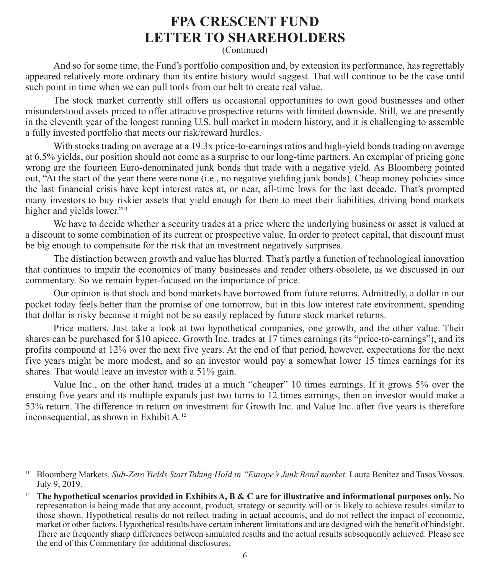(Continued)

And so for some time, the Fund's portfolio composition and, by extension its performance, has regrettably appeared relatively more ordinary than its entire history would suggest. That will continue to be the case until such point in time when we can pull tools from our belt to create real value.

The stock market currently still offers us occasional opportunities to own good businesses and other misunderstood assets priced to offer attractive prospective returns with limited downside. Still, we are presently in the eleventh year of the longest running U.S. bull market in modern history, and it is challenging to assemble a fully invested portfolio that meets our risk/reward hurdles.

With stocks trading on average at a 19.3x price-to-earnings ratios and high-yield bonds trading on average at 6.5% yields, our position should not come as a surprise to our long-time partners. An exemplar of pricing gone wrong are the fourteen Euro-denominated junk bonds that trade with a negative yield. As Bloomberg pointed out, "At the start of the year there were none (i.e., no negative yielding junk bonds). Cheap money policies since the last financial crisis have kept interest rates at, or near, all-time lows for the last decade. That's prompted many investors to buy riskier assets that yield enough for them to meet their liabilities, driving bond markets higher and yields lower."<sup>11</sup>

We have to decide whether a security trades at a price where the underlying business or asset is valued at a discount to some combination of its current or prospective value. In order to protect capital, that discount must be big enough to compensate for the risk that an investment negatively surprises.

The distinction between growth and value has blurred. That's partly a function of technological innovation that continues to impair the economics of many businesses and render others obsolete, as we discussed in our commentary. So we remain hyper-focused on the importance of price.

Our opinion is that stock and bond markets have borrowed from future returns. Admittedly, a dollar in our pocket today feels better than the promise of one tomorrow, but in this low interest rate environment, spending that dollar is risky because it might not be so easily replaced by future stock market returns.

Price matters. Just take a look at two hypothetical companies, one growth, and the other value. Their shares can be purchased for \$10 apiece. Growth Inc. trades at 17 times earnings (its "price-to-earnings"), and its profits compound at 12% over the next five years. At the end of that period, however, expectations for the next five years might be more modest, and so an investor would pay a somewhat lower 15 times earnings for its shares. That would leave an investor with a 51% gain.

Value Inc., on the other hand, trades at a much "cheaper" 10 times earnings. If it grows 5% over the ensuing five years and its multiple expands just two turns to 12 times earnings, then an investor would make a 53% return. The difference in return on investment for Growth Inc. and Value Inc. after five years is therefore inconsequential, as shown in Exhibit A.<sup>12</sup>

<sup>11</sup> Bloomberg Markets. *Sub-Zero Yields Start Taking Hold in "Europe's Junk Bond market*. Laura Benitez and Tasos Vossos. July 9, 2019.

<sup>&</sup>lt;sup>12</sup> The hypothetical scenarios provided in Exhibits A, B  $\&$  C are for illustrative and informational purposes only. No representation is being made that any account, product, strategy or security will or is likely to achieve results similar to those shown. Hypothetical results do not reflect trading in actual accounts, and do not reflect the impact of economic, market or other factors. Hypothetical results have certain inherent limitations and are designed with the benefit of hindsight. There are frequently sharp differences between simulated results and the actual results subsequently achieved. Please see the end of this Commentary for additional disclosures.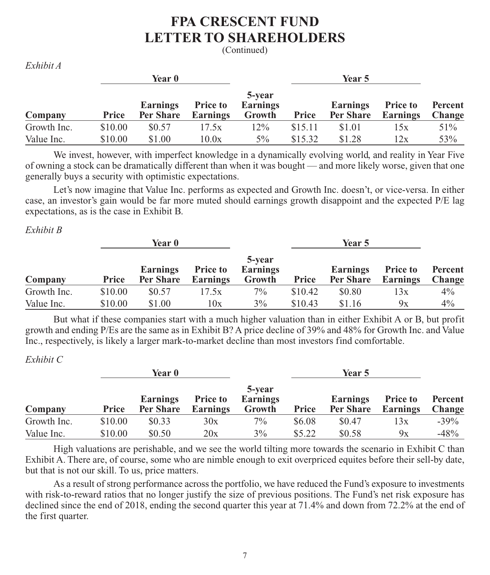(Continued)

|             |         | Year 0                |                             |                                     |         |                       |                             |                          |
|-------------|---------|-----------------------|-----------------------------|-------------------------------------|---------|-----------------------|-----------------------------|--------------------------|
| Company     | Price   | Earnings<br>Per Share | <b>Price to</b><br>Earnings | 5-year<br><b>Earnings</b><br>Growth | Price   | Earnings<br>Per Share | <b>Price to</b><br>Earnings | Percent<br><b>Change</b> |
| Growth Inc. | \$10.00 | \$0.57                | 17.5x                       | 12%                                 | \$15.11 | \$1.01                | 15x                         | 51%                      |
| Value Inc.  | \$10.00 | \$1.00                | 10.0x                       | $5\%$                               | \$15.32 | \$1.28                | 12x                         | 53%                      |

We invest, however, with imperfect knowledge in a dynamically evolving world, and reality in Year Five of owning a stock can be dramatically different than when it was bought — and more likely worse, given that one generally buys a security with optimistic expectations.

Let's now imagine that Value Inc. performs as expected and Growth Inc. doesn't, or vice-versa. In either case, an investor's gain would be far more muted should earnings growth disappoint and the expected P/E lag expectations, as is the case in Exhibit B.

*Exhibit B*

*Exhibit A*

|             |         | <b>Year</b> 0         |                             |                                     |              |                              |                                    |                   |
|-------------|---------|-----------------------|-----------------------------|-------------------------------------|--------------|------------------------------|------------------------------------|-------------------|
| Company     | Price   | Earnings<br>Per Share | <b>Price to</b><br>Earnings | 5-year<br><b>Earnings</b><br>Growth | <b>Price</b> | <b>Earnings</b><br>Per Share | <b>Price to</b><br><b>Earnings</b> | Percent<br>Change |
| Growth Inc. | \$10.00 | \$0.57                | 17.5x                       | $7\%$                               | \$10.42      | \$0.80                       | 13x                                | $4\%$             |
| Value Inc.  | \$10.00 | \$1.00                | 10x                         | $3\%$                               | \$10.43      | \$1.16                       | 9x                                 | $4\%$             |

But what if these companies start with a much higher valuation than in either Exhibit A or B, but profit growth and ending P/Es are the same as in Exhibit B? A price decline of 39% and 48% for Growth Inc. and Value Inc., respectively, is likely a larger mark-to-market decline than most investors find comfortable.

*Exhibit C*

|             |              | <b>Year 0</b>         |                                    |                                     |        |                       |                                    |                   |
|-------------|--------------|-----------------------|------------------------------------|-------------------------------------|--------|-----------------------|------------------------------------|-------------------|
| Company     | <b>Price</b> | Earnings<br>Per Share | <b>Price to</b><br><b>Earnings</b> | 5-year<br><b>Earnings</b><br>Growth | Price  | Earnings<br>Per Share | <b>Price to</b><br><b>Earnings</b> | Percent<br>Change |
| Growth Inc. | \$10.00      | \$0.33                | 30x                                | $7\%$                               | \$6.08 | \$0.47                | 13x                                | $-39\%$           |
| Value Inc.  | \$10.00      | \$0.50                | 20x                                | 3%                                  | \$5.22 | \$0.58                | 9x                                 | $-48%$            |

High valuations are perishable, and we see the world tilting more towards the scenario in Exhibit C than Exhibit A. There are, of course, some who are nimble enough to exit overpriced equites before their sell-by date, but that is not our skill. To us, price matters.

As a result of strong performance across the portfolio, we have reduced the Fund's exposure to investments with risk-to-reward ratios that no longer justify the size of previous positions. The Fund's net risk exposure has declined since the end of 2018, ending the second quarter this year at 71.4% and down from 72.2% at the end of the first quarter.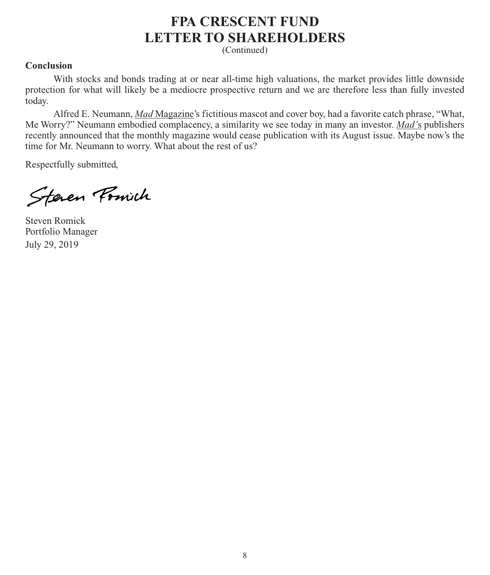(Continued)

#### **Conclusion**

With stocks and bonds trading at or near all-time high valuations, the market provides little downside protection for what will likely be a mediocre prospective return and we are therefore less than fully invested today.

Alfred E. Neumann, *Mad* Magazine's fictitious mascot and cover boy, had a favorite catch phrase, "What, Me Worry?" Neumann embodied complacency, a similarity we see today in many an investor. *Mad'*s publishers recently announced that the monthly magazine would cease publication with its August issue. Maybe now's the time for Mr. Neumann to worry. What about the rest of us?

Respectfully submitted,

Steven Fourth

Steven Romick Portfolio Manager July 29, 2019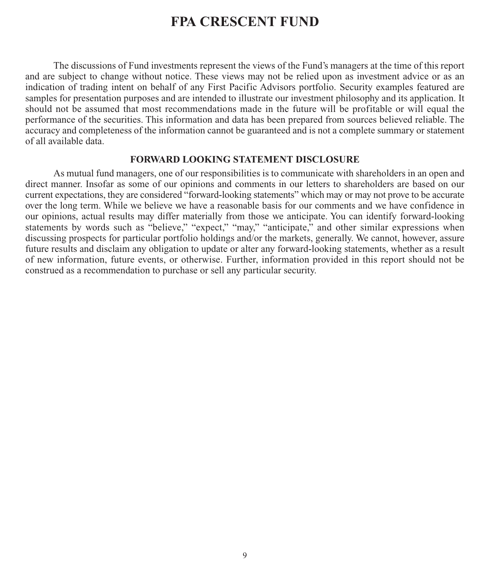### **FPA CRESCENT FUND**

The discussions of Fund investments represent the views of the Fund's managers at the time of this report and are subject to change without notice. These views may not be relied upon as investment advice or as an indication of trading intent on behalf of any First Pacific Advisors portfolio. Security examples featured are samples for presentation purposes and are intended to illustrate our investment philosophy and its application. It should not be assumed that most recommendations made in the future will be profitable or will equal the performance of the securities. This information and data has been prepared from sources believed reliable. The accuracy and completeness of the information cannot be guaranteed and is not a complete summary or statement of all available data.

#### **FORWARD LOOKING STATEMENT DISCLOSURE**

As mutual fund managers, one of our responsibilities is to communicate with shareholders in an open and direct manner. Insofar as some of our opinions and comments in our letters to shareholders are based on our current expectations, they are considered "forward-looking statements" which may or may not prove to be accurate over the long term. While we believe we have a reasonable basis for our comments and we have confidence in our opinions, actual results may differ materially from those we anticipate. You can identify forward-looking statements by words such as "believe," "expect," "may," "anticipate," and other similar expressions when discussing prospects for particular portfolio holdings and/or the markets, generally. We cannot, however, assure future results and disclaim any obligation to update or alter any forward-looking statements, whether as a result of new information, future events, or otherwise. Further, information provided in this report should not be construed as a recommendation to purchase or sell any particular security.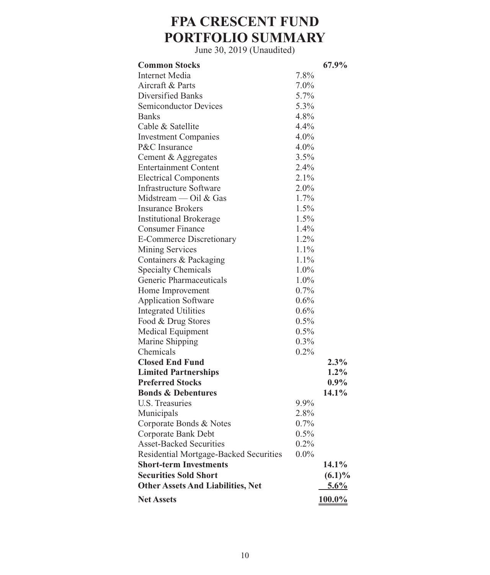# **FPA CRESCENT FUND PORTFOLIO SUMMARY**

| <b>Common Stocks</b>                     |         | 67.9%     |
|------------------------------------------|---------|-----------|
| Internet Media                           | 7.8%    |           |
| Aircraft & Parts                         | $7.0\%$ |           |
| Diversified Banks                        | $5.7\%$ |           |
| Semiconductor Devices                    | 5.3%    |           |
| <b>Banks</b>                             | 4.8%    |           |
| Cable & Satellite                        | $4.4\%$ |           |
| <b>Investment Companies</b>              | $4.0\%$ |           |
| P&C Insurance                            | $4.0\%$ |           |
| Cement & Aggregates                      | 3.5%    |           |
| <b>Entertainment Content</b>             | $2.4\%$ |           |
| <b>Electrical Components</b>             | $2.1\%$ |           |
| Infrastructure Software                  | $2.0\%$ |           |
| Midstream — Oil & Gas                    | 1.7%    |           |
| <b>Insurance Brokers</b>                 | 1.5%    |           |
| <b>Institutional Brokerage</b>           | $1.5\%$ |           |
| Consumer Finance                         | 1.4%    |           |
| E-Commerce Discretionary                 | $1.2\%$ |           |
| Mining Services                          | $1.1\%$ |           |
| Containers & Packaging                   | $1.1\%$ |           |
| <b>Specialty Chemicals</b>               | $1.0\%$ |           |
| Generic Pharmaceuticals                  | $1.0\%$ |           |
| Home Improvement                         | $0.7\%$ |           |
| <b>Application Software</b>              | $0.6\%$ |           |
| Integrated Utilities                     | 0.6%    |           |
| Food & Drug Stores                       | 0.5%    |           |
| Medical Equipment                        | $0.5\%$ |           |
| Marine Shipping                          | $0.3\%$ |           |
| Chemicals                                | 0.2%    |           |
| <b>Closed End Fund</b>                   |         | $2.3\%$   |
| <b>Limited Partnerships</b>              |         | $1.2\%$   |
| <b>Preferred Stocks</b>                  |         | $0.9\%$   |
| <b>Bonds &amp; Debentures</b>            |         | 14.1%     |
| U.S. Treasuries                          | 9.9%    |           |
| Municipals                               | 2.8%    |           |
| Corporate Bonds & Notes                  | 0.7%    |           |
| Corporate Bank Debt                      | $0.5\%$ |           |
| <b>Asset-Backed Securities</b>           | 0.2%    |           |
| Residential Mortgage-Backed Securities   | $0.0\%$ |           |
| <b>Short-term Investments</b>            |         | $14.1\%$  |
| <b>Securities Sold Short</b>             |         | $(6.1)\%$ |
| <b>Other Assets And Liabilities, Net</b> |         | $5.6\%$   |
| <b>Net Assets</b>                        |         | $100.0\%$ |
|                                          |         |           |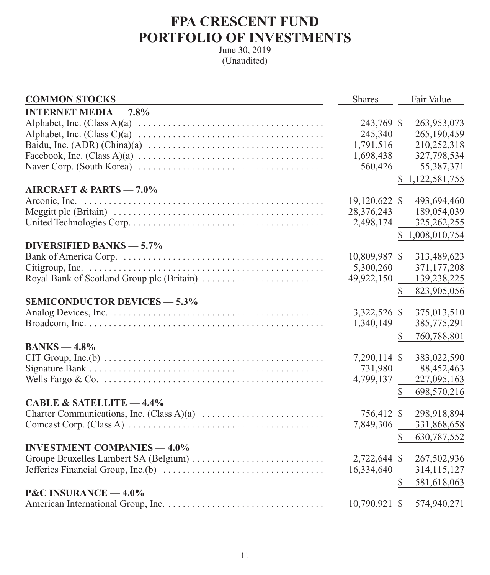# **FPA CRESCENT FUND PORTFOLIO OF INVESTMENTS**

| <b>COMMON STOCKS</b>                                                                                   | <b>Shares</b> | Fair Value                  |
|--------------------------------------------------------------------------------------------------------|---------------|-----------------------------|
| <b>INTERNET MEDIA - 7.8%</b>                                                                           |               |                             |
|                                                                                                        | 243,769 \$    | 263,953,073                 |
|                                                                                                        | 245,340       | 265,190,459                 |
| Baidu, Inc. (ADR) (China)(a) $\ldots \ldots \ldots \ldots \ldots \ldots \ldots \ldots \ldots \ldots$   | 1,791,516     | 210,252,318                 |
|                                                                                                        | 1,698,438     | 327,798,534                 |
|                                                                                                        | 560,426       | 55,387,371                  |
|                                                                                                        |               | \$1,122,581,755             |
| <b>AIRCRAFT &amp; PARTS - 7.0%</b>                                                                     |               |                             |
| Arconic, Inc.                                                                                          | 19,120,622 \$ | 493,694,460                 |
|                                                                                                        | 28,376,243    | 189,054,039                 |
|                                                                                                        | 2,498,174     | 325, 262, 255               |
|                                                                                                        |               | \$1,008,010,754             |
| <b>DIVERSIFIED BANKS - 5.7%</b>                                                                        |               |                             |
|                                                                                                        | 10,809,987 \$ | 313,489,623                 |
|                                                                                                        | 5,300,260     | 371,177,208                 |
|                                                                                                        | 49,922,150    | 139,238,225                 |
|                                                                                                        |               | 823,905,056<br>\$           |
| <b>SEMICONDUCTOR DEVICES - 5.3%</b>                                                                    |               |                             |
|                                                                                                        | 3,322,526 \$  | 375,013,510                 |
|                                                                                                        | 1,340,149     | 385,775,291                 |
|                                                                                                        |               | \$<br>760,788,801           |
| $BANKS - 4.8%$                                                                                         |               |                             |
|                                                                                                        | 7,290,114 \$  | 383,022,590                 |
|                                                                                                        | 731,980       | 88,452,463                  |
|                                                                                                        | 4,799,137     | 227,095,163                 |
|                                                                                                        |               | 698,570,216<br>\$           |
| CABLE & SATELLITE $-4.4\%$                                                                             |               |                             |
|                                                                                                        | 756,412 \$    | 298,918,894                 |
|                                                                                                        | 7,849,306     | 331,868,658                 |
|                                                                                                        |               | $\mathbb{S}$<br>630,787,552 |
| <b>INVESTMENT COMPANIES - 4.0%</b>                                                                     |               |                             |
| Groupe Bruxelles Lambert SA (Belgium)                                                                  | 2,722,644 \$  | 267,502,936                 |
| Jefferies Financial Group, Inc.(b) $\dots \dots \dots \dots \dots \dots \dots \dots \dots \dots \dots$ | 16,334,640    | 314,115,127                 |
|                                                                                                        |               | $\mathbb{S}$<br>581,618,063 |
| <b>P&amp;C INSURANCE <math>-4.0\%</math></b>                                                           |               |                             |
|                                                                                                        | 10,790,921 \$ | 574,940,271                 |
|                                                                                                        |               |                             |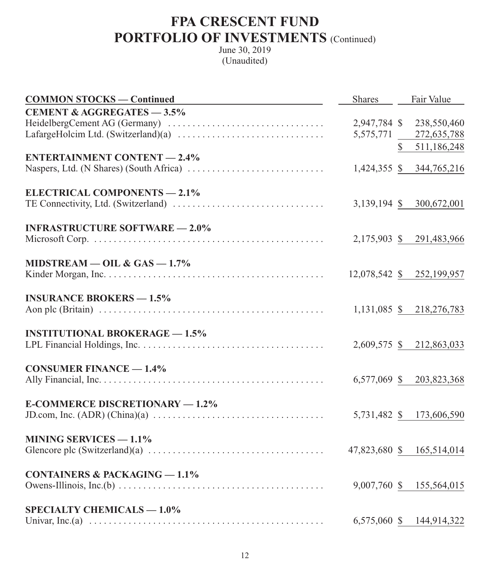| <b>COMMON STOCKS — Continued</b>                                                                                    |              | Shares Fair Value           |
|---------------------------------------------------------------------------------------------------------------------|--------------|-----------------------------|
| <b>CEMENT &amp; AGGREGATES - 3.5%</b>                                                                               |              |                             |
|                                                                                                                     | 2,947,784 \$ | 238,550,460                 |
| LafargeHolcim Ltd. (Switzerland)(a) $\dots\dots\dots\dots\dots\dots\dots\dots\dots\dots\dots\dots$                  | 5,575,771    | 272,635,788                 |
|                                                                                                                     |              | $\mathbb{S}$<br>511,186,248 |
| <b>ENTERTAINMENT CONTENT - 2.4%</b>                                                                                 |              |                             |
|                                                                                                                     |              | 1,424,355 \$ 344,765,216    |
| <b>ELECTRICAL COMPONENTS - 2.1%</b>                                                                                 |              |                             |
|                                                                                                                     |              | 3,139,194 \$ 300,672,001    |
| <b>INFRASTRUCTURE SOFTWARE - 2.0%</b>                                                                               |              |                             |
|                                                                                                                     |              | 2,175,903 \$ 291,483,966    |
|                                                                                                                     |              |                             |
| MIDSTREAM $-$ OIL & GAS $-$ 1.7%                                                                                    |              |                             |
|                                                                                                                     |              | 12,078,542 \$ 252,199,957   |
| <b>INSURANCE BROKERS - 1.5%</b>                                                                                     |              |                             |
|                                                                                                                     |              | 1,131,085 \$ 218,276,783    |
|                                                                                                                     |              |                             |
| <b>INSTITUTIONAL BROKERAGE - 1.5%</b>                                                                               |              |                             |
|                                                                                                                     |              | 2,609,575 \$ 212,863,033    |
| <b>CONSUMER FINANCE - 1.4%</b>                                                                                      |              |                             |
|                                                                                                                     |              | 6,577,069 \$ 203,823,368    |
|                                                                                                                     |              |                             |
| <b>E-COMMERCE DISCRETIONARY - 1.2%</b>                                                                              |              |                             |
|                                                                                                                     |              | 5,731,482 \$ 173,606,590    |
| <b>MINING SERVICES - 1.1%</b>                                                                                       |              |                             |
|                                                                                                                     |              | 47,823,680 \$ 165,514,014   |
|                                                                                                                     |              |                             |
| <b>CONTAINERS &amp; PACKAGING - 1.1%</b>                                                                            |              |                             |
| Owens-Illinois, Inc.(b) $\dots \dots \dots \dots \dots \dots \dots \dots \dots \dots \dots \dots \dots \dots \dots$ |              | 9,007,760 \$ 155,564,015    |
| <b>SPECIALTY CHEMICALS - 1.0%</b>                                                                                   |              |                             |
|                                                                                                                     | 6,575,060 \$ | 144,914,322                 |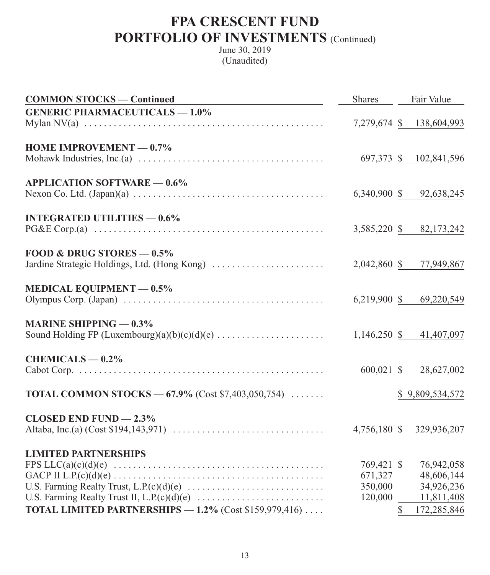| <b>COMMON STOCKS — Continued</b>                                                                                                        | <b>Shares</b>                               | Fair Value                                                                          |
|-----------------------------------------------------------------------------------------------------------------------------------------|---------------------------------------------|-------------------------------------------------------------------------------------|
| <b>GENERIC PHARMACEUTICALS - 1.0%</b>                                                                                                   |                                             | 7,279,674 \$ 138,604,993                                                            |
| HOME IMPROVEMENT $-0.7\%$<br>Mohawk Industries, Inc.(a) $\dots \dots \dots \dots \dots \dots \dots \dots \dots \dots \dots \dots \dots$ |                                             | 697,373 \$ 102,841,596                                                              |
| <b>APPLICATION SOFTWARE - 0.6%</b>                                                                                                      |                                             | 6,340,900 \$ 92,638,245                                                             |
| <b>INTEGRATED UTILITIES - 0.6%</b>                                                                                                      | 3,585,220 \$                                | 82,173,242                                                                          |
| FOOD & DRUG STORES $-0.5\%$<br>Jardine Strategic Holdings, Ltd. (Hong Kong)                                                             |                                             | 2,042,860 \$ 77,949,867                                                             |
| <b>MEDICAL EQUIPMENT - 0.5%</b>                                                                                                         |                                             | 6,219,900 \$ 69,220,549                                                             |
| <b>MARINE SHIPPING — <math>0.3\%</math></b>                                                                                             |                                             | 1,146,250 \$ 41,407,097                                                             |
| $CHEMICALS - 0.2%$                                                                                                                      |                                             | 600,021 \$ 28,627,002                                                               |
| <b>TOTAL COMMON STOCKS</b> - $67.9\%$ (Cost \$7,403,050,754)                                                                            |                                             | \$9,809,534,572                                                                     |
| CLOSED END FUND $-2.3\%$                                                                                                                |                                             | 4,756,180 \$ 329,936,207                                                            |
| <b>LIMITED PARTNERSHIPS</b><br>TOTAL LIMITED PARTNERSHIPS - 1.2% (Cost \$159,979,416)                                                   | 769,421 \$<br>671,327<br>350,000<br>120,000 | 76,942,058<br>48,606,144<br>34,926,236<br>11,811,408<br>$\mathbb{S}$<br>172,285,846 |
|                                                                                                                                         |                                             |                                                                                     |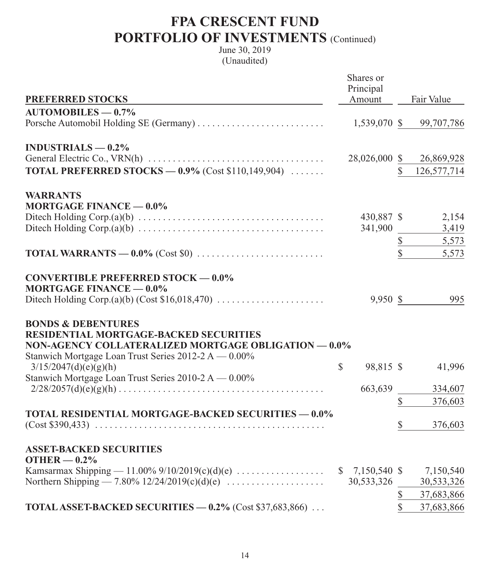|                                                                                                              | Shares or                 |              |                         |
|--------------------------------------------------------------------------------------------------------------|---------------------------|--------------|-------------------------|
|                                                                                                              | Principal                 |              |                         |
| <b>PREFERRED STOCKS</b>                                                                                      | Amount                    |              | Fair Value              |
| $AUTOMOBILES - 0.7%$                                                                                         |                           |              |                         |
| Porsche Automobil Holding SE (Germany)                                                                       |                           |              | 1,539,070 \$ 99,707,786 |
|                                                                                                              |                           |              |                         |
| INDUSTRIALS $-0.2\%$                                                                                         | 28,026,000 \$             |              | 26,869,928              |
| <b>TOTAL PREFERRED STOCKS - 0.9%</b> (Cost \$110,149,904) $\ldots$                                           |                           | $\mathbb{S}$ | 126,577,714             |
|                                                                                                              |                           |              |                         |
| <b>WARRANTS</b>                                                                                              |                           |              |                         |
| <b>MORTGAGE FINANCE - 0.0%</b>                                                                               |                           |              |                         |
|                                                                                                              | 430,887 \$                |              | 2,154                   |
|                                                                                                              | 341,900                   |              | 3,419                   |
|                                                                                                              |                           | $\mathbb{S}$ | 5,573                   |
|                                                                                                              |                           | $\hat{S}$    | 5,573                   |
|                                                                                                              |                           |              |                         |
| <b>CONVERTIBLE PREFERRED STOCK - 0.0%</b>                                                                    |                           |              |                         |
| <b>MORTGAGE FINANCE - 0.0%</b>                                                                               |                           |              |                         |
|                                                                                                              | 9,950 \$                  |              | 995                     |
|                                                                                                              |                           |              |                         |
| <b>BONDS &amp; DEBENTURES</b>                                                                                |                           |              |                         |
| <b>RESIDENTIAL MORTGAGE-BACKED SECURITIES</b>                                                                |                           |              |                         |
| NON-AGENCY COLLATERALIZED MORTGAGE OBLIGATION - 0.0%<br>Stanwich Mortgage Loan Trust Series 2012-2 A - 0.00% |                           |              |                         |
| 3/15/2047(d)(e)(g)(h)                                                                                        | $\mathbb{S}$<br>98,815 \$ |              | 41,996                  |
| Stanwich Mortgage Loan Trust Series 2010-2 A - 0.00%                                                         |                           |              |                         |
|                                                                                                              | 663,639                   |              | 334,607                 |
|                                                                                                              |                           | $\mathbb{S}$ | 376,603                 |
| <b>TOTAL RESIDENTIAL MORTGAGE-BACKED SECURITIES - 0.0%</b>                                                   |                           |              |                         |
|                                                                                                              |                           | \$           | 376,603                 |
|                                                                                                              |                           |              |                         |
| <b>ASSET-BACKED SECURITIES</b>                                                                               |                           |              |                         |
| OTHER $-0.2%$                                                                                                |                           |              |                         |
|                                                                                                              | $$7,150,540$ \$           |              | 7,150,540               |
| Northern Shipping $-7.80\%$ 12/24/2019(c)(d)(e)                                                              | 30,533,326                |              | 30,533,326              |
|                                                                                                              |                           | \$           | 37,683,866              |
| TOTAL ASSET-BACKED SECURITIES - 0.2% (Cost \$37,683,866)                                                     |                           | $\mathbb{S}$ | 37,683,866              |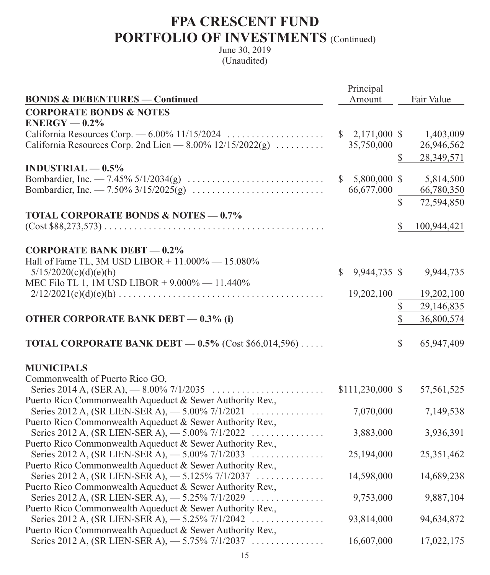|                                                                                                                 | Principal           |               |             |
|-----------------------------------------------------------------------------------------------------------------|---------------------|---------------|-------------|
| <b>BONDS &amp; DEBENTURES — Continued</b>                                                                       | Amount              |               | Fair Value  |
| <b>CORPORATE BONDS &amp; NOTES</b>                                                                              |                     |               |             |
| $ENERGY - 0.2%$                                                                                                 |                     |               |             |
| California Resources Corp. $-6.00\%$ 11/15/2024                                                                 | $$2,171,000$ \$     |               | 1,403,009   |
| California Resources Corp. 2nd Lien $-8.00\%$ 12/15/2022(g)                                                     | 35,750,000          |               | 26,946,562  |
|                                                                                                                 |                     | $\mathbb{S}$  | 28,349,571  |
| $INDUSTRIAL - 0.5%$                                                                                             |                     |               |             |
|                                                                                                                 | \$.<br>5,800,000 \$ |               | 5,814,500   |
|                                                                                                                 | 66,677,000          |               | 66,780,350  |
|                                                                                                                 |                     | \$            | 72,594,850  |
| <b>TOTAL CORPORATE BONDS &amp; NOTES - 0.7%</b>                                                                 |                     |               |             |
|                                                                                                                 |                     | \$            | 100,944,421 |
|                                                                                                                 |                     |               |             |
| <b>CORPORATE BANK DEBT - 0.2%</b>                                                                               |                     |               |             |
| Hall of Fame TL, 3M USD LIBOR + 11.000% - 15.080%                                                               |                     |               |             |
| 5/15/2020(c)(d)(e)(h)                                                                                           | \$<br>9,944,735 \$  |               | 9,944,735   |
| MEC Filo TL 1, 1M USD LIBOR + 9.000% - 11.440%                                                                  |                     |               |             |
|                                                                                                                 | 19,202,100          |               | 19,202,100  |
|                                                                                                                 |                     | \$            | 29,146,835  |
| <b>OTHER CORPORATE BANK DEBT - 0.3% (i)</b>                                                                     |                     | $\mathcal{S}$ | 36,800,574  |
|                                                                                                                 |                     |               |             |
| <b>TOTAL CORPORATE BANK DEBT - 0.5%</b> (Cost $$66,014,596$ )                                                   |                     | \$            | 65,947,409  |
|                                                                                                                 |                     |               |             |
| <b>MUNICIPALS</b>                                                                                               |                     |               |             |
| Commonwealth of Puerto Rico GO,                                                                                 |                     |               |             |
|                                                                                                                 | \$111,230,000 \$    |               | 57,561,525  |
| Puerto Rico Commonwealth Aqueduct & Sewer Authority Rev.,                                                       |                     |               |             |
| Series 2012 A, (SR LIEN-SER A), $-5.00\%$ 7/1/2021                                                              | 7,070,000           |               | 7,149,538   |
| Puerto Rico Commonwealth Aqueduct & Sewer Authority Rev.,                                                       |                     |               |             |
| Series 2012 A, (SR LIEN-SER A), -5.00% 7/1/2022                                                                 | 3,883,000           |               | 3,936,391   |
| Puerto Rico Commonwealth Aqueduct & Sewer Authority Rev.,<br>Series 2012 A, (SR LIEN-SER A), $-$ 5.00% 7/1/2033 | 25,194,000          |               | 25,351,462  |
| Puerto Rico Commonwealth Aqueduct & Sewer Authority Rev.,                                                       |                     |               |             |
| Series 2012 A, (SR LIEN-SER A), $-$ 5.125% 7/1/2037                                                             | 14,598,000          |               | 14,689,238  |
| Puerto Rico Commonwealth Aqueduct & Sewer Authority Rev.,                                                       |                     |               |             |
| Series 2012 A, (SR LIEN-SER A), $-$ 5.25% 7/1/2029                                                              | 9,753,000           |               | 9,887,104   |
| Puerto Rico Commonwealth Aqueduct & Sewer Authority Rev.,                                                       |                     |               |             |
| Series 2012 A, (SR LIEN-SER A), $-$ 5.25% 7/1/2042                                                              | 93,814,000          |               | 94,634,872  |
| Puerto Rico Commonwealth Aqueduct & Sewer Authority Rev.,                                                       |                     |               |             |
| Series 2012 A, (SR LIEN-SER A), $-5.75\%$ 7/1/2037                                                              | 16,607,000          |               | 17,022,175  |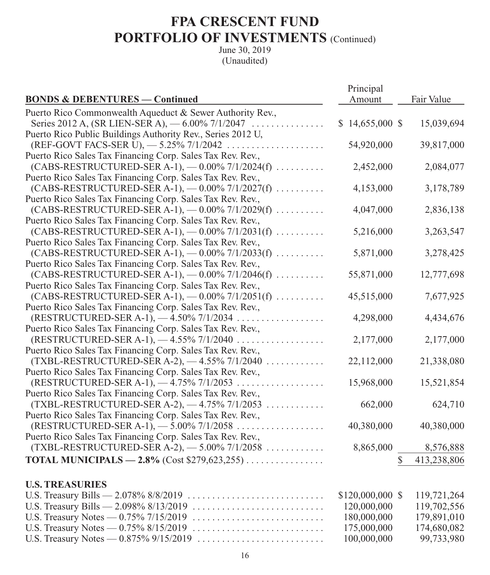|                                                                       | Principal                             |   |             |
|-----------------------------------------------------------------------|---------------------------------------|---|-------------|
| <b>BONDS &amp; DEBENTURES — Continued</b>                             | Amount                                |   | Fair Value  |
| Puerto Rico Commonwealth Aqueduct & Sewer Authority Rev.,             |                                       |   |             |
| Series 2012 A, (SR LIEN-SER A), $-6.00\%$ 7/1/2047                    | $$14,655,000$ \$                      |   | 15,039,694  |
| Puerto Rico Public Buildings Authority Rev., Series 2012 U,           |                                       |   |             |
| (REF-GOVT FACS-SER U), $-$ 5.25% 7/1/2042                             | 54,920,000                            |   | 39,817,000  |
| Puerto Rico Sales Tax Financing Corp. Sales Tax Rev. Rev.,            |                                       |   |             |
| $(CABS-RESTRUCTURED-SER A-1)$ , $-0.00\%$ 7/1/2024(f)                 | 2,452,000                             |   | 2,084,077   |
| Puerto Rico Sales Tax Financing Corp. Sales Tax Rev. Rev.,            |                                       |   |             |
| $(CABS-RESTRUCTURED-SER A-1)$ , $-0.00\%$ 7/1/2027(f)                 | 4,153,000                             |   | 3,178,789   |
| Puerto Rico Sales Tax Financing Corp. Sales Tax Rev. Rev.,            |                                       |   |             |
| $(CABS-RESTRUCTURED-SER A-1)$ , $-0.00\%$ 7/1/2029(f)                 | 4,047,000                             |   | 2,836,138   |
| Puerto Rico Sales Tax Financing Corp. Sales Tax Rev. Rev.,            |                                       |   |             |
| $(CABS-RESTRUCTURED-SER A-1)$ , $-0.00\%$ 7/1/2031(f)                 | 5,216,000                             |   | 3,263,547   |
| Puerto Rico Sales Tax Financing Corp. Sales Tax Rev. Rev.,            |                                       |   |             |
| $(CABS-RESTRUCTURED-SER A-1)$ , $-0.00\%$ 7/1/2033(f)                 | 5,871,000                             |   | 3,278,425   |
| Puerto Rico Sales Tax Financing Corp. Sales Tax Rev. Rev.,            |                                       |   |             |
| $(CABS-RESTRUCTURED-SER A-1)$ , $-0.00\%$ 7/1/2046(f)                 | 55,871,000                            |   | 12,777,698  |
| Puerto Rico Sales Tax Financing Corp. Sales Tax Rev. Rev.,            |                                       |   |             |
| $(CABS-RESTRUCTURED-SER A-1)$ , $-0.00\%$ 7/1/2051(f)                 | 45,515,000                            |   | 7,677,925   |
| Puerto Rico Sales Tax Financing Corp. Sales Tax Rev. Rev.,            |                                       |   |             |
| (RESTRUCTURED-SER A-1), $-4.50\%$ 7/1/2034                            | 4,298,000                             |   | 4,434,676   |
| Puerto Rico Sales Tax Financing Corp. Sales Tax Rev. Rev.,            |                                       |   |             |
| (RESTRUCTURED-SER A-1), $-4.55\%$ 7/1/2040                            | 2,177,000                             |   | 2,177,000   |
| Puerto Rico Sales Tax Financing Corp. Sales Tax Rev. Rev.,            |                                       |   |             |
| $(TXBL-RESTRUCTURED-SER A-2), -4.55\% 7/1/2040$                       | 22,112,000                            |   | 21,338,080  |
| Puerto Rico Sales Tax Financing Corp. Sales Tax Rev. Rev.,            |                                       |   |             |
| (RESTRUCTURED-SER A-1), $-4.75\%$ 7/1/2053                            | 15,968,000                            |   | 15,521,854  |
| Puerto Rico Sales Tax Financing Corp. Sales Tax Rev. Rev.,            |                                       |   |             |
| $(TXBL-RESTRUCTURED-SER A-2), -4.75\% 7/1/2053$                       | 662,000                               |   | 624,710     |
| Puerto Rico Sales Tax Financing Corp. Sales Tax Rev. Rev.,            |                                       |   |             |
| $(RESTRUCTURED-SER A-1), -5.00\% 7/1/2058    $                        | 40,380,000                            |   | 40,380,000  |
| Puerto Rico Sales Tax Financing Corp. Sales Tax Rev. Rev.,            |                                       |   |             |
| $(TXBL-RESTRUCTURED-SER A-2), -5.00\%7/1/2058$                        | 8,865,000                             |   | 8,576,888   |
| <b>TOTAL MUNICIPALS — 2.8%</b> (Cost \$279,623,255)                   |                                       | S | 413,238,806 |
| <b>U.S. TREASURIES</b>                                                |                                       |   |             |
| 2.0700/000/2010<br>$\prod$ C. T <sub>roga</sub> nw, $\prod_{i=1}^{n}$ | $\ell$ 120.000.000 $\ell$ 110.721.264 |   |             |

| $$120,000,000 \$$ 119,721,264 |             |
|-------------------------------|-------------|
| 120,000,000                   | 119,702,556 |
| 180,000,000                   | 179,891,010 |
| 175,000,000                   | 174,680,082 |
| 100,000,000                   | 99,733,980  |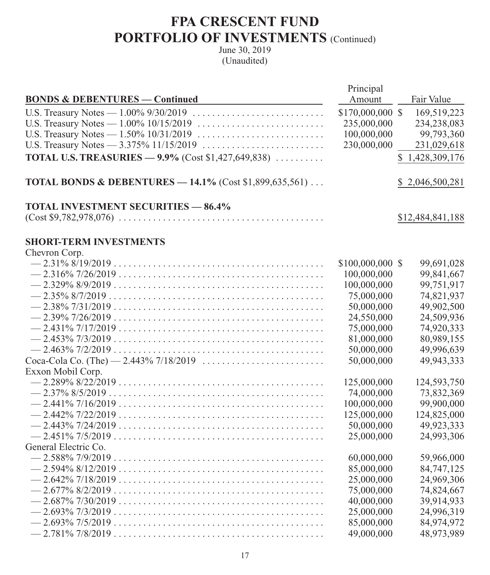|                                                                    | Principal        |                  |
|--------------------------------------------------------------------|------------------|------------------|
| <b>BONDS &amp; DEBENTURES — Continued</b>                          | Amount           | Fair Value       |
|                                                                    | \$170,000,000 \$ | 169,519,223      |
|                                                                    | 235,000,000      | 234,238,083      |
|                                                                    | 100,000,000      | 99,793,360       |
|                                                                    | 230,000,000      | 231,029,618      |
| <b>TOTAL U.S. TREASURIES - 9.9%</b> (Cost \$1,427,649,838)         |                  | \$1,428,309,176  |
| <b>TOTAL BONDS &amp; DEBENTURES - 14.1% (Cost \$1,899,635,561)</b> |                  | \$2,046,500,281  |
| <b>TOTAL INVESTMENT SECURITIES - 86.4%</b>                         |                  |                  |
|                                                                    |                  | \$12,484,841,188 |
| <b>SHORT-TERM INVESTMENTS</b>                                      |                  |                  |
| Chevron Corp.                                                      |                  |                  |
| $-2.31\%8/19/2019$                                                 | \$100,000,000 \$ | 99,691,028       |
|                                                                    | 100,000,000      | 99,841,667       |
|                                                                    | 100,000,000      | 99,751,917       |
|                                                                    | 75,000,000       | 74,821,937       |
|                                                                    | 50,000,000       | 49,902,500       |
|                                                                    | 24,550,000       | 24,509,936       |
|                                                                    | 75,000,000       | 74,920,333       |
|                                                                    | 81,000,000       | 80,989,155       |
|                                                                    | 50,000,000       | 49,996,639       |
|                                                                    | 50,000,000       | 49,943,333       |
| Exxon Mobil Corp.                                                  |                  |                  |
|                                                                    | 125,000,000      | 124,593,750      |
|                                                                    | 74,000,000       | 73,832,369       |
|                                                                    | 100,000,000      | 99,900,000       |
|                                                                    | 125,000,000      | 124,825,000      |
|                                                                    | 50,000,000       | 49,923,333       |
|                                                                    | 25,000,000       | 24,993,306       |
| General Electric Co.                                               |                  |                  |
|                                                                    | 60,000,000       | 59,966,000       |
|                                                                    | 85,000,000       | 84,747,125       |
|                                                                    | 25,000,000       | 24,969,306       |
|                                                                    | 75,000,000       | 74,824,667       |
|                                                                    | 40,000,000       | 39,914,933       |
|                                                                    | 25,000,000       | 24,996,319       |
|                                                                    | 85,000,000       | 84,974,972       |
|                                                                    | 49,000,000       | 48,973,989       |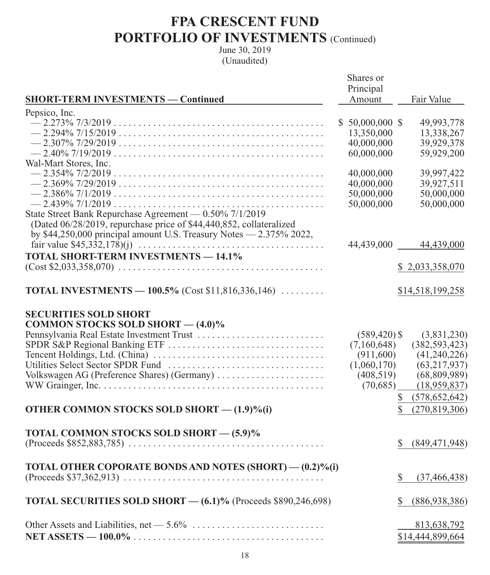| <b>SHORT-TERM INVESTMENTS — Continued</b>                                | Shares or<br>Principal<br>Amount | Fair Value            |
|--------------------------------------------------------------------------|----------------------------------|-----------------------|
| Pepsico, Inc.                                                            |                                  |                       |
|                                                                          | $$50,000,000$ \$                 | 49,993,778            |
|                                                                          | 13,350,000                       | 13,338,267            |
|                                                                          | 40,000,000                       | 39,929,378            |
|                                                                          | 60,000,000                       | 59,929,200            |
| Wal-Mart Stores, Inc.                                                    |                                  |                       |
|                                                                          | 40,000,000                       | 39,997,422            |
|                                                                          | 40,000,000                       | 39,927,511            |
|                                                                          | 50,000,000                       | 50,000,000            |
|                                                                          | 50,000,000                       | 50,000,000            |
| State Street Bank Repurchase Agreement - 0.50% 7/1/2019                  |                                  |                       |
| (Dated 06/28/2019, repurchase price of \$44,440,852, collateralized      |                                  |                       |
| by \$44,250,000 principal amount U.S. Treasury Notes - 2.375% 2022,      |                                  |                       |
|                                                                          |                                  | 44,439,000 44,439,000 |
| <b>TOTAL SHORT-TERM INVESTMENTS - 14.1%</b>                              |                                  |                       |
|                                                                          |                                  | \$2,033,358,070       |
|                                                                          |                                  |                       |
| <b>TOTAL INVESTMENTS</b> - 100.5% (Cost \$11,816,336,146) $\ldots$       |                                  | \$14,518,199,258      |
| <b>SECURITIES SOLD SHORT</b><br><b>COMMON STOCKS SOLD SHORT - (4.0)%</b> |                                  |                       |
|                                                                          | $(589, 420)$ \$                  | (3,831,230)           |
|                                                                          | (7,160,648)                      | (382, 593, 423)       |
|                                                                          | (911,600)                        | (41,240,226)          |
|                                                                          | (1,060,170)                      | (63, 217, 937)        |
| Volkswagen AG (Preference Shares) (Germany)                              | (408, 519)                       | (68, 809, 989)        |
|                                                                          | (70,685)                         | (18,959,837)          |
|                                                                          |                                  | \$ (578,652,642)      |
| OTHER COMMON STOCKS SOLD SHORT - (1.9)%(i)                               |                                  | (270, 819, 306)       |
|                                                                          |                                  |                       |
| TOTAL COMMON STOCKS SOLD SHORT - (5.9)%                                  |                                  |                       |
|                                                                          |                                  | (849, 471, 948)       |
|                                                                          |                                  |                       |
| TOTAL OTHER COPORATE BONDS AND NOTES (SHORT) - (0.2)%(i)                 |                                  |                       |
|                                                                          |                                  | S<br>(37, 466, 438)   |
|                                                                          |                                  |                       |
| TOTAL SECURITIES SOLD SHORT - (6.1)% (Proceeds \$890,246,698)            |                                  | (886,938,386)<br>S    |
|                                                                          |                                  |                       |
|                                                                          |                                  | 813,638,792           |
|                                                                          |                                  | \$14,444,899,664      |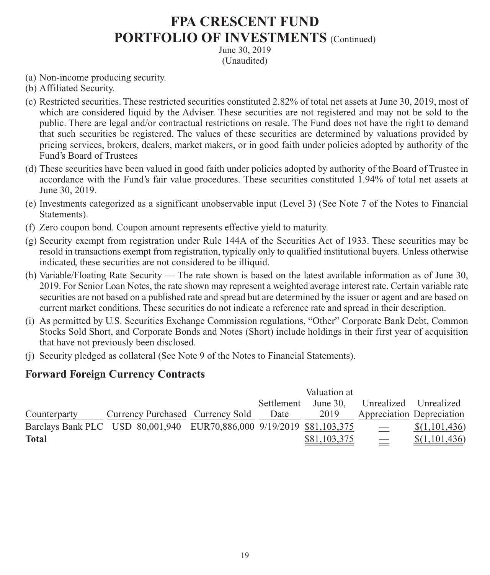June 30, 2019 (Unaudited)

- (a) Non-income producing security.
- (b) Affiliated Security.
- (c) Restricted securities. These restricted securities constituted 2.82% of total net assets at June 30, 2019, most of which are considered liquid by the Adviser. These securities are not registered and may not be sold to the public. There are legal and/or contractual restrictions on resale. The Fund does not have the right to demand that such securities be registered. The values of these securities are determined by valuations provided by pricing services, brokers, dealers, market makers, or in good faith under policies adopted by authority of the Fund's Board of Trustees
- (d) These securities have been valued in good faith under policies adopted by authority of the Board of Trustee in accordance with the Fund's fair value procedures. These securities constituted 1.94% of total net assets at June 30, 2019.
- (e) Investments categorized as a significant unobservable input (Level 3) (See Note 7 of the Notes to Financial Statements).
- (f) Zero coupon bond. Coupon amount represents effective yield to maturity.
- (g) Security exempt from registration under Rule 144A of the Securities Act of 1933. These securities may be resold in transactions exempt from registration, typically only to qualified institutional buyers. Unless otherwise indicated, these securities are not considered to be illiquid.
- (h) Variable/Floating Rate Security The rate shown is based on the latest available information as of June 30, 2019. For Senior Loan Notes, the rate shown may represent a weighted average interest rate. Certain variable rate securities are not based on a published rate and spread but are determined by the issuer or agent and are based on current market conditions. These securities do not indicate a reference rate and spread in their description.
- (i) As permitted by U.S. Securities Exchange Commission regulations, "Other" Corporate Bank Debt, Common Stocks Sold Short, and Corporate Bonds and Notes (Short) include holdings in their first year of acquisition that have not previously been disclosed.
- (j) Security pledged as collateral (See Note 9 of the Notes to Financial Statements).

### **Forward Foreign Currency Contracts**

|              |                                                                       | Valuation at |              |                          |                           |
|--------------|-----------------------------------------------------------------------|--------------|--------------|--------------------------|---------------------------|
|              |                                                                       | Settlement   | June $30.$   | Unrealized Unrealized    |                           |
| Counterparty | Currency Purchased Currency Sold                                      | Date         | 2019         |                          | Appreciation Depreciation |
|              | Barclays Bank PLC USD 80,001,940 EUR70,886,000 9/19/2019 \$81,103,375 |              |              | $\overline{\phantom{m}}$ | \$(1,101,436)             |
| <b>Total</b> |                                                                       |              | \$81,103,375 |                          | \$(1,101,436)             |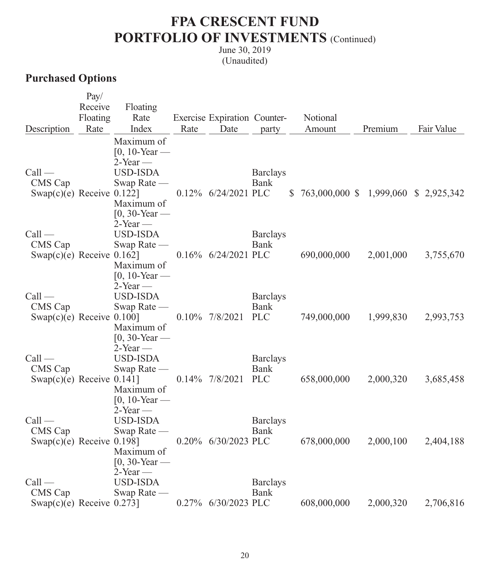June 30, 2019 (Unaudited)

### **Purchased Options**

|                              | Pay/     |                  |      |                              |                    |                                       |           |            |
|------------------------------|----------|------------------|------|------------------------------|--------------------|---------------------------------------|-----------|------------|
|                              | Receive  | Floating         |      |                              |                    |                                       |           |            |
|                              | Floating | Rate             |      | Exercise Expiration Counter- |                    | Notional                              |           |            |
| Description                  | Rate     | Index            | Rate | Date                         | party              | Amount                                | Premium   | Fair Value |
|                              |          | Maximum of       |      |                              |                    |                                       |           |            |
|                              |          | $[0, 10$ -Year — |      |                              |                    |                                       |           |            |
|                              |          | $2$ -Year —      |      |                              |                    |                                       |           |            |
| $Call$ —                     |          | <b>USD-ISDA</b>  |      |                              | <b>Barclays</b>    |                                       |           |            |
| CMS Cap                      |          | Swap Rate —      |      |                              | Bank               |                                       |           |            |
| Swap(c)(e) Receive $0.122$ ] |          |                  |      | 0.12% 6/24/2021 PLC          |                    | \$763,000,000 \$1,999,060 \$2,925,342 |           |            |
|                              |          | Maximum of       |      |                              |                    |                                       |           |            |
|                              |          | $[0, 30$ -Year — |      |                              |                    |                                       |           |            |
|                              |          | $2$ -Year —      |      |                              |                    |                                       |           |            |
| $Call$ —                     |          | <b>USD-ISDA</b>  |      |                              | <b>Barclays</b>    |                                       |           |            |
| CMS Cap                      |          | Swap Rate —      |      |                              | <b>Bank</b>        |                                       |           |            |
| Swap(c)(e) Receive $0.162$ ] |          |                  |      | 0.16% 6/24/2021 PLC          |                    | 690,000,000                           | 2,001,000 | 3,755,670  |
|                              |          | Maximum of       |      |                              |                    |                                       |           |            |
|                              |          | $[0, 10$ -Year — |      |                              |                    |                                       |           |            |
|                              |          | $2$ -Year —      |      |                              |                    |                                       |           |            |
| $Call$ —                     |          | <b>USD-ISDA</b>  |      |                              | <b>Barclays</b>    |                                       |           |            |
| CMS Cap                      |          | Swap Rate —      |      | $0.10\%$ 7/8/2021            | Bank<br><b>PLC</b> |                                       |           |            |
| Swap $(c)(e)$ Receive 0.100] |          | Maximum of       |      |                              |                    | 749,000,000                           | 1,999,830 | 2,993,753  |
|                              |          | $[0, 30$ -Year — |      |                              |                    |                                       |           |            |
|                              |          | $2$ -Year —      |      |                              |                    |                                       |           |            |
| $Call$ —                     |          | <b>USD-ISDA</b>  |      |                              | <b>Barclays</b>    |                                       |           |            |
| CMS Cap                      |          | Swap Rate —      |      |                              | Bank               |                                       |           |            |
| Swap(c)(e) Receive $0.141$ ] |          |                  |      | $0.14\%$ 7/8/2021            | <b>PLC</b>         | 658,000,000                           | 2,000,320 | 3,685,458  |
|                              |          | Maximum of       |      |                              |                    |                                       |           |            |
|                              |          | $[0, 10$ -Year — |      |                              |                    |                                       |           |            |
|                              |          | $2$ -Year —      |      |                              |                    |                                       |           |            |
| $Call$ —                     |          | <b>USD-ISDA</b>  |      |                              | <b>Barclays</b>    |                                       |           |            |
| CMS Cap                      |          | Swap Rate —      |      |                              | <b>Bank</b>        |                                       |           |            |
| Swap $(c)(e)$ Receive 0.198] |          |                  |      | 0.20% 6/30/2023 PLC          |                    | 678,000,000                           | 2,000,100 | 2,404,188  |
|                              |          | Maximum of       |      |                              |                    |                                       |           |            |
|                              |          | $[0, 30$ -Year — |      |                              |                    |                                       |           |            |
|                              |          | $2$ -Year —      |      |                              |                    |                                       |           |            |
| $Call$ —                     |          | <b>USD-ISDA</b>  |      |                              | <b>Barclays</b>    |                                       |           |            |
| CMS Cap                      |          | Swap Rate —      |      |                              | <b>Bank</b>        |                                       |           |            |
| Swap(c)(e) Receive $0.273$ ] |          |                  |      | 0.27% 6/30/2023 PLC          |                    | 608,000,000                           | 2,000,320 | 2,706,816  |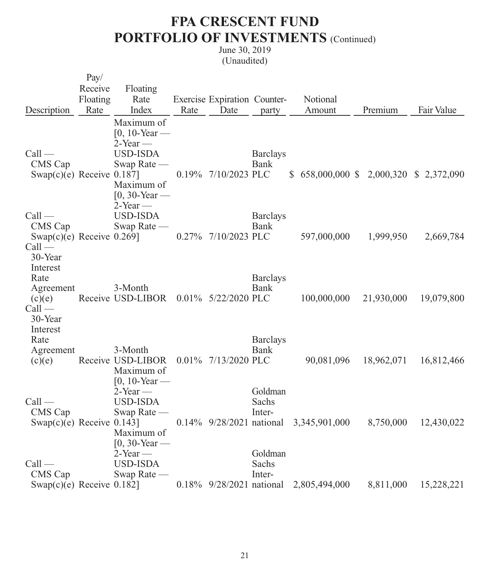|                                                                                       | Pay/     |                                                                                        |      |                              |                            |                                        |            |            |
|---------------------------------------------------------------------------------------|----------|----------------------------------------------------------------------------------------|------|------------------------------|----------------------------|----------------------------------------|------------|------------|
|                                                                                       | Receive  | Floating                                                                               |      |                              |                            |                                        |            |            |
|                                                                                       | Floating | Rate                                                                                   |      | Exercise Expiration Counter- |                            | Notional                               |            |            |
| Description                                                                           | Rate     | Index                                                                                  | Rate | Date                         | party                      | Amount                                 | Premium    | Fair Value |
| $Call$ —<br>CMS Cap<br>Swap $(c)(e)$ Receive 0.187]                                   |          | Maximum of<br>$[0, 10$ -Year —<br>$2$ -Year —<br>USD-ISDA<br>Swap Rate —<br>Maximum of |      | 0.19% 7/10/2023 PLC          | <b>Barclays</b><br>Bank    | \$658,000,000 \$2,000,320 \$2,372,090  |            |            |
| $Call$ —<br>CMS Cap<br>Swap(c)(e) Receive $0.269$ ]<br>$Call$ —                       |          | $[0, 30$ -Year —<br>$2$ -Year —<br><b>USD-ISDA</b><br>Swap Rate —                      |      | 0.27% 7/10/2023 PLC          | <b>Barclays</b><br>Bank    | 597,000,000                            | 1,999,950  | 2,669,784  |
| 30-Year<br>Interest<br>Rate<br>Agreement<br>(c)(e)<br>$Call$ —<br>30-Year<br>Interest |          | 3-Month<br>Receive USD-LIBOR 0.01% 5/22/2020 PLC                                       |      |                              | <b>Barclays</b><br>Bank    | 100,000,000                            | 21,930,000 | 19,079,800 |
| Rate<br>Agreement<br>(c)(e)                                                           |          | 3-Month<br>Receive USD-LIBOR<br>Maximum of<br>$[0, 10$ -Year —                         |      | 0.01% 7/13/2020 PLC          | <b>Barclays</b><br>Bank    | 90,081,096                             | 18,962,071 | 16,812,466 |
| $Call$ —<br>CMS Cap<br>Swap $(c)(e)$ Receive 0.143]                                   |          | $2$ -Year —<br><b>USD-ISDA</b><br>Swap Rate —<br>Maximum of<br>$[0, 30$ -Year —        |      |                              | Goldman<br>Sachs<br>Inter- | 0.14% 9/28/2021 national 3,345,901,000 | 8,750,000  | 12,430,022 |
| $Call$ —<br>CMS Cap<br>Swap $(c)(e)$ Receive 0.182]                                   |          | $2$ -Year —<br><b>USD-ISDA</b><br>Swap Rate —                                          |      |                              | Goldman<br>Sachs<br>Inter- | 0.18% 9/28/2021 national 2,805,494,000 | 8,811,000  | 15,228,221 |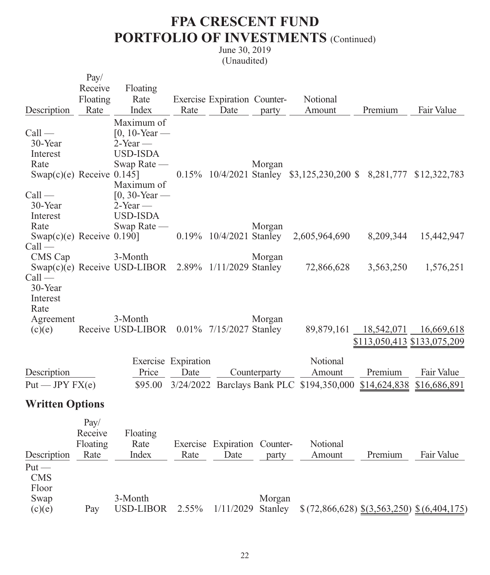|                                                                         | Pay/<br>Receive                     | Floating                                                                        |                             |                                      |              |                                                                              |                                                      |                            |
|-------------------------------------------------------------------------|-------------------------------------|---------------------------------------------------------------------------------|-----------------------------|--------------------------------------|--------------|------------------------------------------------------------------------------|------------------------------------------------------|----------------------------|
|                                                                         | Floating<br>Rate                    | Rate<br>Index                                                                   | Rate                        | Exercise Expiration Counter-<br>Date |              | Notional<br>Amount                                                           | Premium                                              | Fair Value                 |
| Description                                                             |                                     |                                                                                 |                             |                                      | party        |                                                                              |                                                      |                            |
| $Call$ —<br>30-Year<br>Interest<br>Rate<br>Swap(c)(e) Receive $0.145$ ] |                                     | Maximum of<br>$[0, 10$ -Year —<br>$2$ -Year —<br><b>USD-ISDA</b><br>Swap Rate — |                             |                                      | Morgan       | 0.15% 10/4/2021 Stanley \$3,125,230,200 \$ 8,281,777 \$12,322,783            |                                                      |                            |
| $Call$ —<br>30-Year<br>Interest<br>Rate                                 |                                     | Maximum of<br>$[0, 30$ -Year —<br>$2$ -Year —<br><b>USD-ISDA</b><br>Swap Rate - |                             |                                      | Morgan       |                                                                              |                                                      |                            |
| Swap $(c)(e)$ Receive 0.190]                                            |                                     |                                                                                 |                             | 0.19% 10/4/2021 Stanley              |              | 2,605,964,690                                                                | 8,209,344                                            | 15,442,947                 |
| $Call$ —<br>CMS Cap<br>$Call$ —<br>30-Year                              |                                     | 3-Month<br>Swap(c)(e) Receive USD-LIBOR $2.89\%$ 1/11/2029 Stanley              |                             |                                      | Morgan       | 72,866,628                                                                   | 3,563,250                                            | 1,576,251                  |
| Interest<br>Rate<br>Agreement<br>(c)(e)                                 |                                     | 3-Month<br>Receive USD-LIBOR 0.01% 7/15/2027 Stanley                            |                             |                                      | Morgan       |                                                                              | 89,879,161 18,542,071<br>\$113,050,413 \$133,075,209 | 16,669,618                 |
| Description<br>Put — JPY FX(e)                                          |                                     | Price<br>\$95.00                                                                | Exercise Expiration<br>Date |                                      | Counterparty | Notional<br>Amount<br>3/24/2022 Barclays Bank PLC \$194,350,000 \$14,624,838 | Premium                                              | Fair Value<br>\$16,686,891 |
| <b>Written Options</b>                                                  |                                     |                                                                                 |                             |                                      |              |                                                                              |                                                      |                            |
| Description<br>$Put -$<br><b>CMS</b><br>Floor                           | Pay/<br>Receive<br>Floating<br>Rate | Floating<br>Rate<br>Index                                                       | Rate                        | Exercise Expiration Counter-<br>Date | party        | Notional<br>Amount                                                           | Premium                                              | Fair Value                 |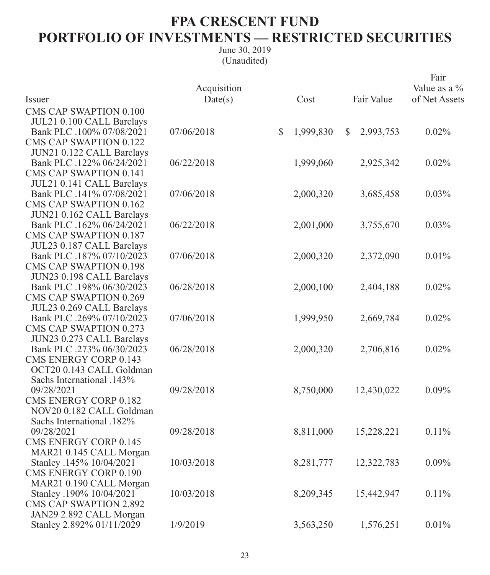### **FPA CRESCENT FUND PORTFOLIO OF INVESTMENTS — RESTRICTED SECURITIES**

|                               | Acquisition |              |           |              |            | Fair<br>Value as a % |
|-------------------------------|-------------|--------------|-----------|--------------|------------|----------------------|
| Issuer                        | Date(s)     |              | Cost      |              | Fair Value | of Net Assets        |
| <b>CMS CAP SWAPTION 0.100</b> |             |              |           |              |            |                      |
| JUL21 0.100 CALL Barclays     |             |              |           |              |            |                      |
| Bank PLC .100% 07/08/2021     | 07/06/2018  | $\mathbb{S}$ | 1,999,830 | $\mathbb{S}$ | 2,993,753  | 0.02%                |
| <b>CMS CAP SWAPTION 0.122</b> |             |              |           |              |            |                      |
| JUN21 0.122 CALL Barclays     |             |              |           |              |            |                      |
| Bank PLC .122% 06/24/2021     | 06/22/2018  |              | 1,999,060 |              | 2,925,342  | 0.02%                |
| <b>CMS CAP SWAPTION 0.141</b> |             |              |           |              |            |                      |
| JUL21 0.141 CALL Barclays     |             |              |           |              |            |                      |
| Bank PLC .141% 07/08/2021     | 07/06/2018  |              | 2,000,320 |              | 3,685,458  | 0.03%                |
| <b>CMS CAP SWAPTION 0.162</b> |             |              |           |              |            |                      |
| JUN21 0.162 CALL Barclays     |             |              |           |              |            |                      |
| Bank PLC .162% 06/24/2021     | 06/22/2018  |              | 2,001,000 |              | 3,755,670  | 0.03%                |
| <b>CMS CAP SWAPTION 0.187</b> |             |              |           |              |            |                      |
| JUL23 0.187 CALL Barclays     |             |              |           |              |            |                      |
| Bank PLC .187% 07/10/2023     | 07/06/2018  |              | 2,000,320 |              | 2,372,090  | 0.01%                |
| <b>CMS CAP SWAPTION 0.198</b> |             |              |           |              |            |                      |
| JUN23 0.198 CALL Barclays     |             |              |           |              |            |                      |
| Bank PLC .198% 06/30/2023     | 06/28/2018  |              | 2,000,100 |              | 2,404,188  | 0.02%                |
| <b>CMS CAP SWAPTION 0.269</b> |             |              |           |              |            |                      |
| JUL23 0.269 CALL Barclays     |             |              |           |              |            |                      |
| Bank PLC .269% 07/10/2023     | 07/06/2018  |              | 1,999,950 |              | 2,669,784  | 0.02%                |
| <b>CMS CAP SWAPTION 0.273</b> |             |              |           |              |            |                      |
| JUN23 0.273 CALL Barclays     |             |              |           |              |            |                      |
| Bank PLC .273% 06/30/2023     | 06/28/2018  |              | 2,000,320 |              | 2,706,816  | 0.02%                |
| <b>CMS ENERGY CORP 0.143</b>  |             |              |           |              |            |                      |
| OCT20 0.143 CALL Goldman      |             |              |           |              |            |                      |
| Sachs International .143%     |             |              |           |              |            |                      |
| 09/28/2021                    | 09/28/2018  |              | 8,750,000 |              | 12,430,022 | 0.09%                |
| <b>CMS ENERGY CORP 0.182</b>  |             |              |           |              |            |                      |
| NOV20 0.182 CALL Goldman      |             |              |           |              |            |                      |
| Sachs International .182%     |             |              |           |              |            |                      |
| 09/28/2021                    | 09/28/2018  |              | 8,811,000 |              | 15,228,221 | 0.11%                |
| <b>CMS ENERGY CORP 0.145</b>  |             |              |           |              |            |                      |
| MAR21 0.145 CALL Morgan       |             |              |           |              |            |                      |
| Stanley .145% 10/04/2021      | 10/03/2018  |              | 8,281,777 |              | 12,322,783 | 0.09%                |
| <b>CMS ENERGY CORP 0.190</b>  |             |              |           |              |            |                      |
| MAR21 0.190 CALL Morgan       |             |              |           |              |            |                      |
| Stanley .190% 10/04/2021      | 10/03/2018  |              | 8,209,345 |              | 15,442,947 | 0.11%                |
| <b>CMS CAP SWAPTION 2.892</b> |             |              |           |              |            |                      |
| JAN29 2.892 CALL Morgan       |             |              |           |              |            |                      |
| Stanley 2.892% 01/11/2029     | 1/9/2019    |              | 3,563,250 |              | 1,576,251  | 0.01%                |
|                               |             |              |           |              |            |                      |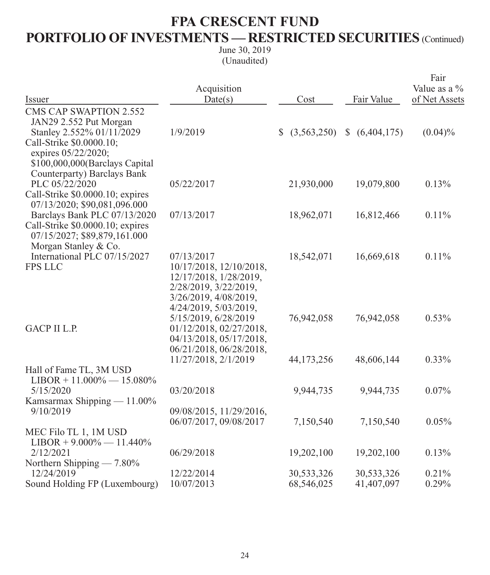# **FPA CRESCENT FUND PORTFOLIO OF INVESTMENTS — RESTRICTED SECURITIES** (Continued)

| Issuer                                                                                   | Acquisition<br>Date(s)                                                                                                       | Cost           | Fair Value     | Fair<br>Value as a %<br>of Net Assets |
|------------------------------------------------------------------------------------------|------------------------------------------------------------------------------------------------------------------------------|----------------|----------------|---------------------------------------|
| <b>CMS CAP SWAPTION 2.552</b>                                                            |                                                                                                                              |                |                |                                       |
| JAN29 2.552 Put Morgan                                                                   |                                                                                                                              |                |                |                                       |
| Stanley 2.552% 01/11/2029                                                                | 1/9/2019                                                                                                                     | \$ (3,563,250) | \$ (6,404,175) | $(0.04)\%$                            |
| Call-Strike \$0.0000.10;<br>expires 05/22/2020;<br>\$100,000,000(Barclays Capital        |                                                                                                                              |                |                |                                       |
| Counterparty) Barclays Bank                                                              |                                                                                                                              |                |                |                                       |
| PLC 05/22/2020<br>Call-Strike \$0.0000.10; expires<br>07/13/2020; \$90,081,096.000       | 05/22/2017                                                                                                                   | 21,930,000     | 19,079,800     | 0.13%                                 |
| Barclays Bank PLC 07/13/2020                                                             | 07/13/2017                                                                                                                   | 18,962,071     | 16,812,466     | 0.11%                                 |
| Call-Strike \$0.0000.10; expires<br>07/15/2027; \$89,879,161.000<br>Morgan Stanley & Co. |                                                                                                                              |                |                |                                       |
| International PLC 07/15/2027                                                             | 07/13/2017                                                                                                                   | 18,542,071     | 16,669,618     | 0.11%                                 |
| <b>FPS LLC</b>                                                                           | 10/17/2018, 12/10/2018,<br>12/17/2018, 1/28/2019,<br>2/28/2019, 3/22/2019,<br>3/26/2019, 4/08/2019,<br>4/24/2019, 5/03/2019, |                |                |                                       |
| <b>GACP II L.P.</b>                                                                      | 5/15/2019, 6/28/2019<br>01/12/2018, 02/27/2018,<br>04/13/2018, 05/17/2018,<br>06/21/2018, 06/28/2018,                        | 76,942,058     | 76,942,058     | 0.53%                                 |
|                                                                                          | 11/27/2018, 2/1/2019                                                                                                         | 44,173,256     | 48,606,144     | 0.33%                                 |
| Hall of Fame TL, 3M USD<br>$LIBOR + 11.000\% - 15.080\%$                                 |                                                                                                                              |                |                |                                       |
| 5/15/2020                                                                                | 03/20/2018                                                                                                                   | 9,944,735      | 9,944,735      | 0.07%                                 |
| Kamsarmax Shipping — 11.00%                                                              |                                                                                                                              |                |                |                                       |
| 9/10/2019                                                                                | 09/08/2015, 11/29/2016,<br>06/07/2017, 09/08/2017                                                                            |                |                | 0.05%                                 |
| MEC Filo TL 1, 1M USD<br>$LIBOR + 9.000\% - 11.440\%$                                    |                                                                                                                              | 7,150,540      | 7,150,540      |                                       |
| 2/12/2021                                                                                | 06/29/2018                                                                                                                   | 19,202,100     | 19,202,100     | 0.13%                                 |
| Northern Shipping — 7.80%                                                                |                                                                                                                              |                |                |                                       |
| 12/24/2019                                                                               | 12/22/2014                                                                                                                   | 30,533,326     | 30,533,326     | 0.21%                                 |
| Sound Holding FP (Luxembourg)                                                            | 10/07/2013                                                                                                                   | 68,546,025     | 41,407,097     | 0.29%                                 |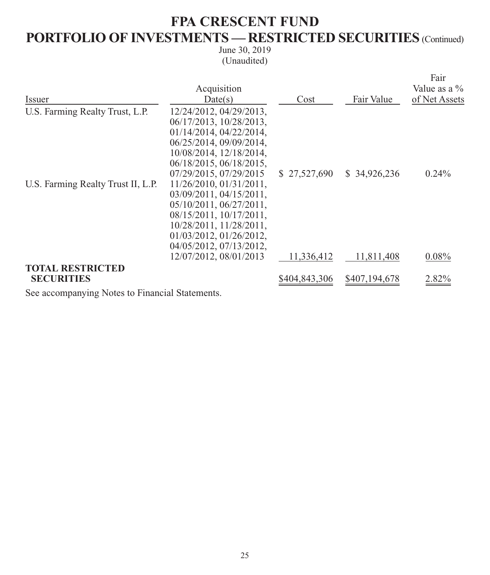# **FPA CRESCENT FUND PORTFOLIO OF INVESTMENTS — RESTRICTED SECURITIES** (Continued)

June 30, 2019 (Unaudited)

| Issuer<br>Fair Value<br>Date(s)<br>Cost<br>U.S. Farming Realty Trust, L.P.<br>12/24/2012, 04/29/2013,<br>06/17/2013, 10/28/2013,<br>01/14/2014, 04/22/2014,<br>06/25/2014, 09/09/2014,<br>10/08/2014, 12/18/2014,<br>06/18/2015, 06/18/2015,<br>07/29/2015, 07/29/2015<br>\$34,926,236<br>$0.24\%$<br>\$27,527,690<br>U.S. Farming Realty Trust II, L.P.<br>11/26/2010, 01/31/2011,<br>03/09/2011, 04/15/2011,<br>05/10/2011, 06/27/2011,<br>$08/15/2011$ , $10/17/2011$ ,<br>10/28/2011, 11/28/2011,<br>01/03/2012, 01/26/2012,<br>04/05/2012, 07/13/2012,<br>12/07/2012, 08/01/2013<br>0.08%<br>11,811,408<br>11,336,412<br><b>TOTAL RESTRICTED</b><br><b>SECURITIES</b><br>\$404,843,306<br>\$407,194,678<br>2.82% |             |  | Fair          |
|-----------------------------------------------------------------------------------------------------------------------------------------------------------------------------------------------------------------------------------------------------------------------------------------------------------------------------------------------------------------------------------------------------------------------------------------------------------------------------------------------------------------------------------------------------------------------------------------------------------------------------------------------------------------------------------------------------------------------|-------------|--|---------------|
|                                                                                                                                                                                                                                                                                                                                                                                                                                                                                                                                                                                                                                                                                                                       | Acquisition |  | Value as a %  |
|                                                                                                                                                                                                                                                                                                                                                                                                                                                                                                                                                                                                                                                                                                                       |             |  | of Net Assets |
|                                                                                                                                                                                                                                                                                                                                                                                                                                                                                                                                                                                                                                                                                                                       |             |  |               |
|                                                                                                                                                                                                                                                                                                                                                                                                                                                                                                                                                                                                                                                                                                                       |             |  |               |
|                                                                                                                                                                                                                                                                                                                                                                                                                                                                                                                                                                                                                                                                                                                       |             |  |               |
|                                                                                                                                                                                                                                                                                                                                                                                                                                                                                                                                                                                                                                                                                                                       |             |  |               |
|                                                                                                                                                                                                                                                                                                                                                                                                                                                                                                                                                                                                                                                                                                                       |             |  |               |
|                                                                                                                                                                                                                                                                                                                                                                                                                                                                                                                                                                                                                                                                                                                       |             |  |               |
|                                                                                                                                                                                                                                                                                                                                                                                                                                                                                                                                                                                                                                                                                                                       |             |  |               |
|                                                                                                                                                                                                                                                                                                                                                                                                                                                                                                                                                                                                                                                                                                                       |             |  |               |
|                                                                                                                                                                                                                                                                                                                                                                                                                                                                                                                                                                                                                                                                                                                       |             |  |               |
|                                                                                                                                                                                                                                                                                                                                                                                                                                                                                                                                                                                                                                                                                                                       |             |  |               |
|                                                                                                                                                                                                                                                                                                                                                                                                                                                                                                                                                                                                                                                                                                                       |             |  |               |
|                                                                                                                                                                                                                                                                                                                                                                                                                                                                                                                                                                                                                                                                                                                       |             |  |               |
|                                                                                                                                                                                                                                                                                                                                                                                                                                                                                                                                                                                                                                                                                                                       |             |  |               |
|                                                                                                                                                                                                                                                                                                                                                                                                                                                                                                                                                                                                                                                                                                                       |             |  |               |
|                                                                                                                                                                                                                                                                                                                                                                                                                                                                                                                                                                                                                                                                                                                       |             |  |               |
|                                                                                                                                                                                                                                                                                                                                                                                                                                                                                                                                                                                                                                                                                                                       |             |  |               |
|                                                                                                                                                                                                                                                                                                                                                                                                                                                                                                                                                                                                                                                                                                                       |             |  |               |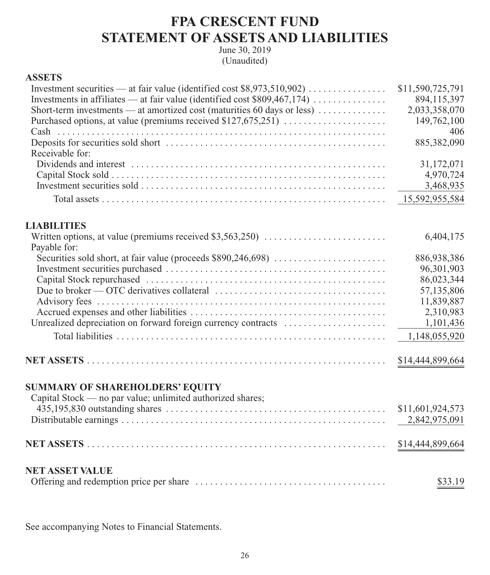### **FPA CRESCENT FUND STATEMENT OF ASSETS AND LIABILITIES**

June 30, 2019 (Unaudited)

### **ASSETS**

|                                                                                                | \$11,590,725,791 |
|------------------------------------------------------------------------------------------------|------------------|
|                                                                                                | 894,115,397      |
| Short-term investments — at amortized cost (maturities 60 days or less) $\dots\dots\dots\dots$ | 2,033,358,070    |
| Purchased options, at value (premiums received \$127,675,251)                                  | 149,762,100      |
|                                                                                                | 406              |
|                                                                                                | 885,382,090      |
| Receivable for:                                                                                |                  |
|                                                                                                | 31,172,071       |
|                                                                                                | 4,970,724        |
|                                                                                                | 3,468,935        |
|                                                                                                | 15,592,955,584   |
| <b>LIABILITIES</b>                                                                             |                  |
|                                                                                                | 6,404,175        |
| Payable for:                                                                                   |                  |
|                                                                                                | 886,938,386      |
|                                                                                                | 96,301,903       |
|                                                                                                | 86,023,344       |
|                                                                                                | 57,135,806       |
|                                                                                                | 11,839,887       |
|                                                                                                | 2,310,983        |
| Unrealized depreciation on forward foreign currency contracts                                  | 1,101,436        |
|                                                                                                | 1,148,055,920    |
|                                                                                                | \$14,444,899,664 |
| <b>SUMMARY OF SHAREHOLDERS' EQUITY</b>                                                         |                  |
| Capital Stock — no par value; unlimited authorized shares;                                     |                  |
|                                                                                                | \$11,601,924,573 |
|                                                                                                | 2,842,975,091    |
|                                                                                                | \$14,444,899,664 |
|                                                                                                |                  |
| <b>NET ASSET VALUE</b>                                                                         |                  |
|                                                                                                | \$33.19          |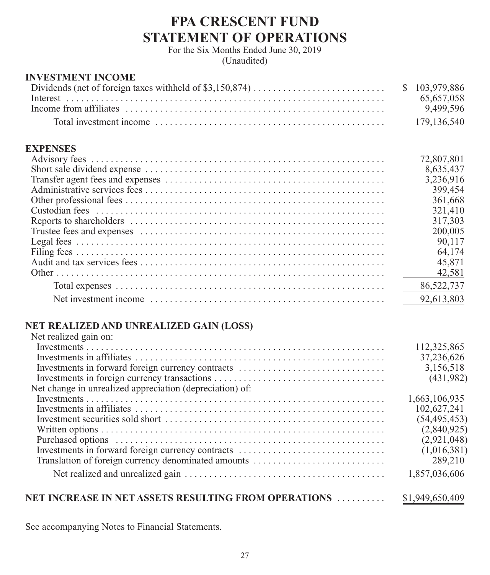### **FPA CRESCENT FUND STATEMENT OF OPERATIONS**

For the Six Months Ended June 30, 2019 (Unaudited)

#### **INVESTMENT INCOME**

|                                                                                                                                                                                                                                | 65.657.058 |
|--------------------------------------------------------------------------------------------------------------------------------------------------------------------------------------------------------------------------------|------------|
|                                                                                                                                                                                                                                |            |
| Total investment income expansion of the contract of the contract of the contract of the contract of the contract of the contract of the contract of the contract of the contract of the contract of the contract of the contr |            |

### **EXPENSES**

| 72,807,801 |
|------------|
| 8,635,437  |
| 3,236,916  |
| 399,454    |
| 361,668    |
| 321,410    |
| 317,303    |
| 200,005    |
| 90,117     |
| 64,174     |
| 45,871     |
| 42,581     |
| 86,522,737 |
| 92,613,803 |

#### **NET REALIZED AND UNREALIZED GAIN (LOSS)** Net realized gain on:

| Net realized gain on:                                    |                 |
|----------------------------------------------------------|-----------------|
|                                                          | 112,325,865     |
|                                                          | 37,236,626      |
| Investments in forward foreign currency contracts        | 3,156,518       |
|                                                          | (431,982)       |
| Net change in unrealized appreciation (depreciation) of: |                 |
|                                                          | 1,663,106,935   |
|                                                          | 102,627,241     |
|                                                          | (54, 495, 453)  |
|                                                          | (2,840,925)     |
|                                                          | (2,921,048)     |
| Investments in forward foreign currency contracts        | (1,016,381)     |
| Translation of foreign currency denominated amounts      | 289,210         |
|                                                          | 1,857,036,606   |
|                                                          |                 |
| NET INCREASE IN NET ASSETS RESULTING FROM OPERATIONS     | \$1,949,650,409 |
|                                                          |                 |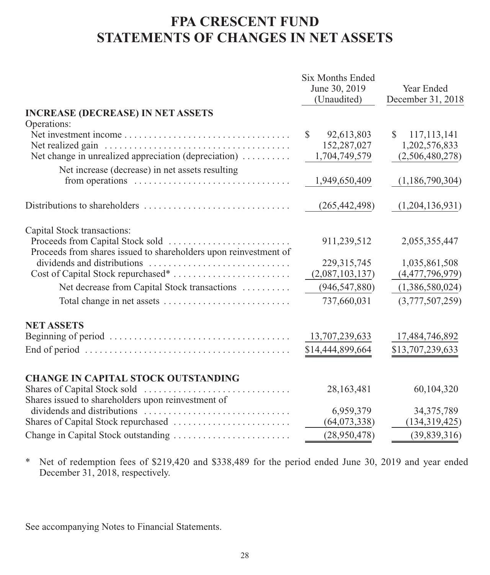# **FPA CRESCENT FUND STATEMENTS OF CHANGES IN NET ASSETS**

|                                                                                                     | Six Months Ended<br>June 30, 2019<br>(Unaudited) | Year Ended<br>December 31, 2018 |
|-----------------------------------------------------------------------------------------------------|--------------------------------------------------|---------------------------------|
| <b>INCREASE (DECREASE) IN NET ASSETS</b>                                                            |                                                  |                                 |
| Operations:                                                                                         |                                                  |                                 |
|                                                                                                     | 92,613,803<br>\$                                 | \$<br>117, 113, 141             |
|                                                                                                     | 152,287,027                                      | 1,202,576,833                   |
| Net change in unrealized appreciation (depreciation)                                                | 1,704,749,579                                    | (2,506,480,278)                 |
| Net increase (decrease) in net assets resulting                                                     |                                                  |                                 |
| from operations $\dots \dots \dots \dots \dots \dots \dots \dots \dots \dots$                       | 1,949,650,409                                    | (1,186,790,304)                 |
|                                                                                                     | (265, 442, 498)                                  | (1,204,136,931)                 |
| Capital Stock transactions:                                                                         |                                                  |                                 |
|                                                                                                     | 911,239,512                                      | 2,055,355,447                   |
| Proceeds from shares issued to shareholders upon reinvestment of                                    |                                                  |                                 |
|                                                                                                     | 229,315,745                                      | 1,035,861,508                   |
|                                                                                                     | (2,087,103,137)                                  | (4,477,796,979)                 |
| Net decrease from Capital Stock transactions                                                        | (946, 547, 880)                                  | (1,386,580,024)                 |
|                                                                                                     | 737,660,031                                      | (3,777,507,259)                 |
| <b>NET ASSETS</b>                                                                                   |                                                  |                                 |
|                                                                                                     | 13,707,239,633                                   | 17,484,746,892                  |
| End of period $\dots \dots \dots \dots \dots \dots \dots \dots \dots \dots \dots \dots \dots \dots$ | \$14,444,899,664                                 | \$13,707,239,633                |
|                                                                                                     |                                                  |                                 |
| <b>CHANGE IN CAPITAL STOCK OUTSTANDING</b>                                                          |                                                  |                                 |
|                                                                                                     | 28,163,481                                       | 60,104,320                      |
| Shares issued to shareholders upon reinvestment of                                                  |                                                  |                                 |
|                                                                                                     | 6,959,379                                        | 34, 375, 789                    |
|                                                                                                     | (64,073,338)                                     | (134, 319, 425)                 |
|                                                                                                     | (28,950,478)                                     | (39,839,316)                    |

\* Net of redemption fees of \$219,420 and \$338,489 for the period ended June 30, 2019 and year ended December 31, 2018, respectively.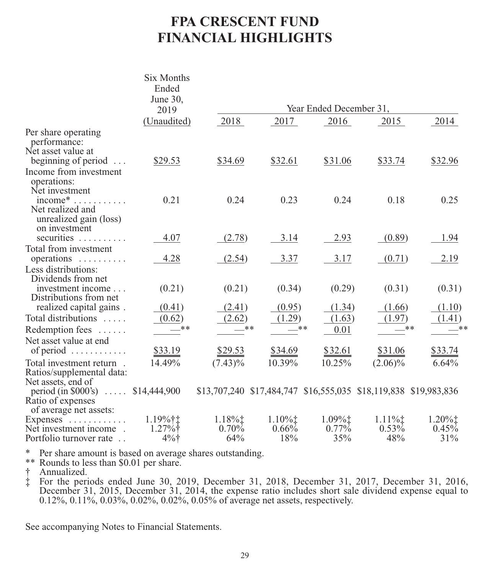# **FPA CRESCENT FUND FINANCIAL HIGHLIGHTS**

|                                                                                          | Six Months<br>Ended        |                                                                  |                               |                                                             |                             |                                                          |
|------------------------------------------------------------------------------------------|----------------------------|------------------------------------------------------------------|-------------------------------|-------------------------------------------------------------|-----------------------------|----------------------------------------------------------|
|                                                                                          | June 30,<br>2019           |                                                                  |                               | Year Ended December 31,                                     |                             |                                                          |
|                                                                                          | (Unaudited)                | 2018                                                             | 2017                          | 2016                                                        | 2015                        | 2014                                                     |
| Per share operating<br>performance:<br>Net asset value at                                |                            |                                                                  |                               |                                                             |                             |                                                          |
| beginning of period $\dots$<br>Income from investment<br>operations:<br>Net investment   | \$29.53                    | \$34.69                                                          | \$32.61                       | \$31.06                                                     | \$33.74                     | \$32.96                                                  |
| $income^*$<br>Net realized and<br>unrealized gain (loss)<br>on investment                | 0.21                       | 0.24                                                             | 0.23                          | 0.24                                                        | 0.18                        | 0.25                                                     |
| securities                                                                               | 4.07                       | (2.78)                                                           | 3.14                          | 2.93                                                        | (0.89)                      | 1.94                                                     |
| Total from investment<br>operations                                                      | 4.28                       | (2.54)                                                           | 3.37                          | 3.17                                                        | (0.71)                      | 2.19                                                     |
| Less distributions:<br>Dividends from net<br>investment income<br>Distributions from net | (0.21)                     | (0.21)                                                           | (0.34)                        | (0.29)                                                      | (0.31)                      | (0.31)                                                   |
| realized capital gains.                                                                  | (0.41)                     | (2.41)                                                           | (0.95)                        | (1.34)                                                      | (1.66)                      | (1.10)                                                   |
| Total distributions<br>Redemption fees                                                   | (0.62)<br>**               | (2.62)<br>$-$ **                                                 | (1.29)<br>**                  | (1.63)<br>0.01                                              | (1.97)                      | (1.41)<br>**<br>$-***$                                   |
| Net asset value at end<br>of period $\dots \dots \dots$                                  | \$33.19                    | \$29.53                                                          | $\frac{$34.69}{2}$            | \$32.61                                                     | \$31.06                     | \$33.74                                                  |
| Total investment return.<br>Ratios/supplemental data:<br>Net assets, end of              | 14.49%                     | $(7.43)\%$                                                       | 10.39%                        | 10.25%                                                      | $(2.06)\%$                  | 6.64%                                                    |
| period (in \$000's) $\ldots$ \$14,444,900<br>Ratio of expenses<br>of average net assets: |                            | \$13,707,240 \$17,484,747 \$16,555,035 \$18,119,838 \$19,983,836 |                               |                                                             |                             |                                                          |
| Expenses $\dots\dots\dots\dots$<br>Net investment income.<br>Portfolio turnover rate     | 1.19%†‡<br>1.27%<br>$4%$ † | $1.18\%$<br>0.70%<br>64%                                         | $1.10\%$ ‡<br>$0.66\%$<br>18% | $1.09\%$ <sup><math>\dagger</math></sup><br>$0.77\%$<br>35% | $1.11\%$<br>$0.53\%$<br>48% | $1.20\%$ <sup><math>\dagger</math></sup><br>0.45%<br>31% |

\* Per share amount is based on average shares outstanding.

\*\* Rounds to less than \$0.01 per share.

† Annualized.<br>‡ For the peri

‡ For the periods ended June 30, 2019, December 31, 2018, December 31, 2017, December 31, 2016, December 31, 2015, December 31, 2014, the expense ratio includes short sale dividend expense equal to 0.12%, 0.11%, 0.03%, 0.02%, 0.02%, 0.05% of average net assets, respectively.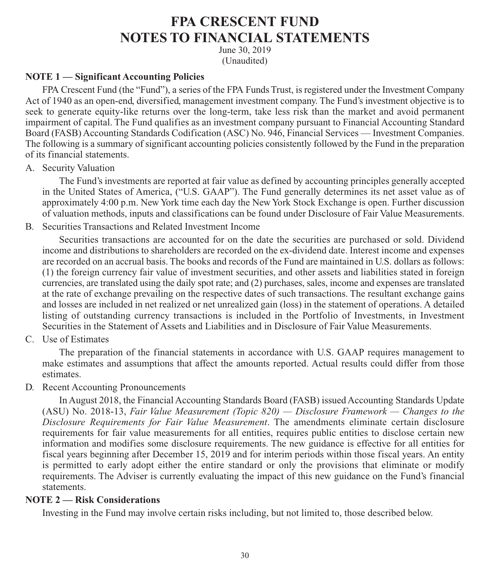### **FPA CRESCENT FUND NOTES TO FINANCIAL STATEMENTS**

June 30, 2019 (Unaudited)

#### **NOTE 1 — Significant Accounting Policies**

FPA Crescent Fund (the "Fund"), a series of the FPA Funds Trust, is registered under the Investment Company Act of 1940 as an open-end, diversified, management investment company. The Fund's investment objective is to seek to generate equity-like returns over the long-term, take less risk than the market and avoid permanent impairment of capital. The Fund qualifies as an investment company pursuant to Financial Accounting Standard Board (FASB) Accounting Standards Codification (ASC) No. 946, Financial Services — Investment Companies. The following is a summary of significant accounting policies consistently followed by the Fund in the preparation of its financial statements.

A. Security Valuation

The Fund's investments are reported at fair value as defined by accounting principles generally accepted in the United States of America, ("U.S. GAAP"). The Fund generally determines its net asset value as of approximately 4:00 p.m. New York time each day the New York Stock Exchange is open. Further discussion of valuation methods, inputs and classifications can be found under Disclosure of Fair Value Measurements.

B. Securities Transactions and Related Investment Income

Securities transactions are accounted for on the date the securities are purchased or sold. Dividend income and distributions to shareholders are recorded on the ex-dividend date. Interest income and expenses are recorded on an accrual basis. The books and records of the Fund are maintained in U.S. dollars as follows: (1) the foreign currency fair value of investment securities, and other assets and liabilities stated in foreign currencies, are translated using the daily spot rate; and (2) purchases, sales, income and expenses are translated at the rate of exchange prevailing on the respective dates of such transactions. The resultant exchange gains and losses are included in net realized or net unrealized gain (loss) in the statement of operations. A detailed listing of outstanding currency transactions is included in the Portfolio of Investments, in Investment Securities in the Statement of Assets and Liabilities and in Disclosure of Fair Value Measurements.

C. Use of Estimates

The preparation of the financial statements in accordance with U.S. GAAP requires management to make estimates and assumptions that affect the amounts reported. Actual results could differ from those estimates.

D. Recent Accounting Pronouncements

In August 2018, the Financial Accounting Standards Board (FASB) issued Accounting Standards Update (ASU) No. 2018-13, *Fair Value Measurement (Topic 820) — Disclosure Framework — Changes to the Disclosure Requirements for Fair Value Measurement*. The amendments eliminate certain disclosure requirements for fair value measurements for all entities, requires public entities to disclose certain new information and modifies some disclosure requirements. The new guidance is effective for all entities for fiscal years beginning after December 15, 2019 and for interim periods within those fiscal years. An entity is permitted to early adopt either the entire standard or only the provisions that eliminate or modify requirements. The Adviser is currently evaluating the impact of this new guidance on the Fund's financial statements.

#### **NOTE 2 — Risk Considerations**

Investing in the Fund may involve certain risks including, but not limited to, those described below.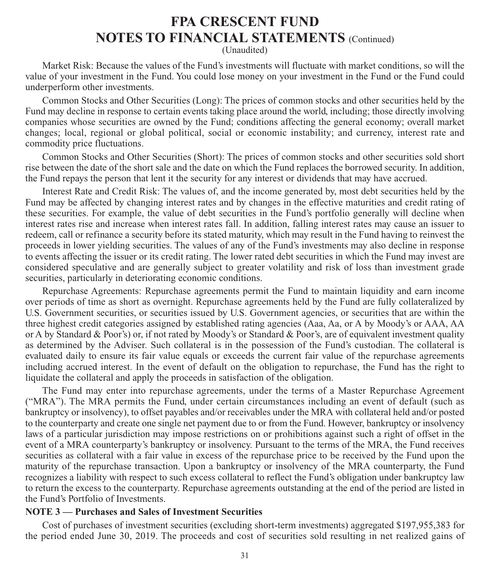(Unaudited)

Market Risk: Because the values of the Fund's investments will fluctuate with market conditions, so will the value of your investment in the Fund. You could lose money on your investment in the Fund or the Fund could underperform other investments.

Common Stocks and Other Securities (Long): The prices of common stocks and other securities held by the Fund may decline in response to certain events taking place around the world, including; those directly involving companies whose securities are owned by the Fund; conditions affecting the general economy; overall market changes; local, regional or global political, social or economic instability; and currency, interest rate and commodity price fluctuations.

Common Stocks and Other Securities (Short): The prices of common stocks and other securities sold short rise between the date of the short sale and the date on which the Fund replaces the borrowed security. In addition, the Fund repays the person that lent it the security for any interest or dividends that may have accrued.

Interest Rate and Credit Risk: The values of, and the income generated by, most debt securities held by the Fund may be affected by changing interest rates and by changes in the effective maturities and credit rating of these securities. For example, the value of debt securities in the Fund's portfolio generally will decline when interest rates rise and increase when interest rates fall. In addition, falling interest rates may cause an issuer to redeem, call or refinance a security before its stated maturity, which may result in the Fund having to reinvest the proceeds in lower yielding securities. The values of any of the Fund's investments may also decline in response to events affecting the issuer or its credit rating. The lower rated debt securities in which the Fund may invest are considered speculative and are generally subject to greater volatility and risk of loss than investment grade securities, particularly in deteriorating economic conditions.

Repurchase Agreements: Repurchase agreements permit the Fund to maintain liquidity and earn income over periods of time as short as overnight. Repurchase agreements held by the Fund are fully collateralized by U.S. Government securities, or securities issued by U.S. Government agencies, or securities that are within the three highest credit categories assigned by established rating agencies (Aaa, Aa, or A by Moody's or AAA, AA or A by Standard & Poor's) or, if not rated by Moody's or Standard & Poor's, are of equivalent investment quality as determined by the Adviser. Such collateral is in the possession of the Fund's custodian. The collateral is evaluated daily to ensure its fair value equals or exceeds the current fair value of the repurchase agreements including accrued interest. In the event of default on the obligation to repurchase, the Fund has the right to liquidate the collateral and apply the proceeds in satisfaction of the obligation.

The Fund may enter into repurchase agreements, under the terms of a Master Repurchase Agreement ("MRA"). The MRA permits the Fund, under certain circumstances including an event of default (such as bankruptcy or insolvency), to offset payables and/or receivables under the MRA with collateral held and/or posted to the counterparty and create one single net payment due to or from the Fund. However, bankruptcy or insolvency laws of a particular jurisdiction may impose restrictions on or prohibitions against such a right of offset in the event of a MRA counterparty's bankruptcy or insolvency. Pursuant to the terms of the MRA, the Fund receives securities as collateral with a fair value in excess of the repurchase price to be received by the Fund upon the maturity of the repurchase transaction. Upon a bankruptcy or insolvency of the MRA counterparty, the Fund recognizes a liability with respect to such excess collateral to reflect the Fund's obligation under bankruptcy law to return the excess to the counterparty. Repurchase agreements outstanding at the end of the period are listed in the Fund's Portfolio of Investments.

#### **NOTE 3 — Purchases and Sales of Investment Securities**

Cost of purchases of investment securities (excluding short-term investments) aggregated \$197,955,383 for the period ended June 30, 2019. The proceeds and cost of securities sold resulting in net realized gains of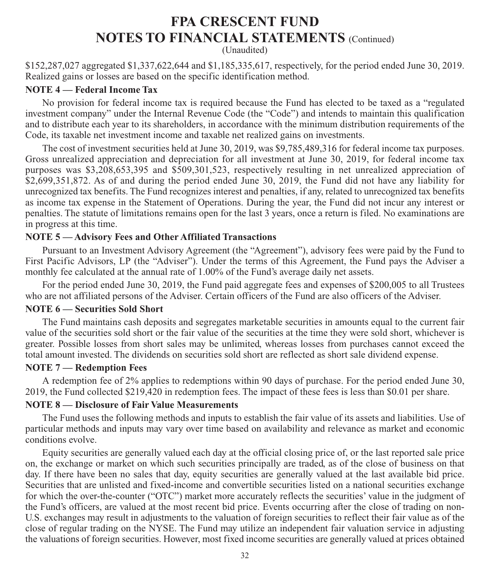(Unaudited)

\$152,287,027 aggregated \$1,337,622,644 and \$1,185,335,617, respectively, for the period ended June 30, 2019. Realized gains or losses are based on the specific identification method.

#### **NOTE 4 — Federal Income Tax**

No provision for federal income tax is required because the Fund has elected to be taxed as a "regulated investment company" under the Internal Revenue Code (the "Code") and intends to maintain this qualification and to distribute each year to its shareholders, in accordance with the minimum distribution requirements of the Code, its taxable net investment income and taxable net realized gains on investments.

The cost of investment securities held at June 30, 2019, was \$9,785,489,316 for federal income tax purposes. Gross unrealized appreciation and depreciation for all investment at June 30, 2019, for federal income tax purposes was \$3,208,653,395 and \$509,301,523, respectively resulting in net unrealized appreciation of \$2,699,351,872. As of and during the period ended June 30, 2019, the Fund did not have any liability for unrecognized tax benefits. The Fund recognizes interest and penalties, if any, related to unrecognized tax benefits as income tax expense in the Statement of Operations. During the year, the Fund did not incur any interest or penalties. The statute of limitations remains open for the last 3 years, once a return is filed. No examinations are in progress at this time.

### **NOTE 5 — Advisory Fees and Other Affiliated Transactions**

Pursuant to an Investment Advisory Agreement (the "Agreement"), advisory fees were paid by the Fund to First Pacific Advisors, LP (the "Adviser"). Under the terms of this Agreement, the Fund pays the Adviser a monthly fee calculated at the annual rate of 1.00% of the Fund's average daily net assets.

For the period ended June 30, 2019, the Fund paid aggregate fees and expenses of \$200,005 to all Trustees who are not affiliated persons of the Adviser. Certain officers of the Fund are also officers of the Adviser.

#### **NOTE 6 — Securities Sold Short**

The Fund maintains cash deposits and segregates marketable securities in amounts equal to the current fair value of the securities sold short or the fair value of the securities at the time they were sold short, whichever is greater. Possible losses from short sales may be unlimited, whereas losses from purchases cannot exceed the total amount invested. The dividends on securities sold short are reflected as short sale dividend expense.

#### **NOTE 7 — Redemption Fees**

A redemption fee of 2% applies to redemptions within 90 days of purchase. For the period ended June 30, 2019, the Fund collected \$219,420 in redemption fees. The impact of these fees is less than \$0.01 per share.

#### **NOTE 8 — Disclosure of Fair Value Measurements**

The Fund uses the following methods and inputs to establish the fair value of its assets and liabilities. Use of particular methods and inputs may vary over time based on availability and relevance as market and economic conditions evolve.

Equity securities are generally valued each day at the official closing price of, or the last reported sale price on, the exchange or market on which such securities principally are traded, as of the close of business on that day. If there have been no sales that day, equity securities are generally valued at the last available bid price. Securities that are unlisted and fixed-income and convertible securities listed on a national securities exchange for which the over-the-counter ("OTC") market more accurately reflects the securities' value in the judgment of the Fund's officers, are valued at the most recent bid price. Events occurring after the close of trading on non-U.S. exchanges may result in adjustments to the valuation of foreign securities to reflect their fair value as of the close of regular trading on the NYSE. The Fund may utilize an independent fair valuation service in adjusting the valuations of foreign securities. However, most fixed income securities are generally valued at prices obtained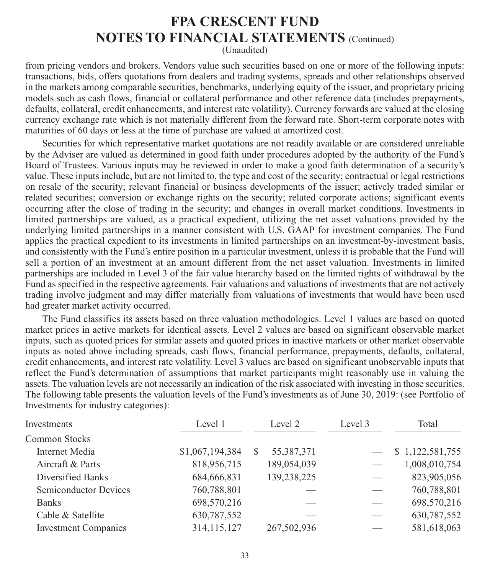(Unaudited)

from pricing vendors and brokers. Vendors value such securities based on one or more of the following inputs: transactions, bids, offers quotations from dealers and trading systems, spreads and other relationships observed in the markets among comparable securities, benchmarks, underlying equity of the issuer, and proprietary pricing models such as cash flows, financial or collateral performance and other reference data (includes prepayments, defaults, collateral, credit enhancements, and interest rate volatility). Currency forwards are valued at the closing currency exchange rate which is not materially different from the forward rate. Short-term corporate notes with maturities of 60 days or less at the time of purchase are valued at amortized cost.

Securities for which representative market quotations are not readily available or are considered unreliable by the Adviser are valued as determined in good faith under procedures adopted by the authority of the Fund's Board of Trustees. Various inputs may be reviewed in order to make a good faith determination of a security's value. These inputs include, but are not limited to, the type and cost of the security; contractual or legal restrictions on resale of the security; relevant financial or business developments of the issuer; actively traded similar or related securities; conversion or exchange rights on the security; related corporate actions; significant events occurring after the close of trading in the security; and changes in overall market conditions. Investments in limited partnerships are valued, as a practical expedient, utilizing the net asset valuations provided by the underlying limited partnerships in a manner consistent with U.S. GAAP for investment companies. The Fund applies the practical expedient to its investments in limited partnerships on an investment-by-investment basis, and consistently with the Fund's entire position in a particular investment, unless it is probable that the Fund will sell a portion of an investment at an amount different from the net asset valuation. Investments in limited partnerships are included in Level 3 of the fair value hierarchy based on the limited rights of withdrawal by the Fund as specified in the respective agreements. Fair valuations and valuations of investments that are not actively trading involve judgment and may differ materially from valuations of investments that would have been used had greater market activity occurred.

The Fund classifies its assets based on three valuation methodologies. Level 1 values are based on quoted market prices in active markets for identical assets. Level 2 values are based on significant observable market inputs, such as quoted prices for similar assets and quoted prices in inactive markets or other market observable inputs as noted above including spreads, cash flows, financial performance, prepayments, defaults, collateral, credit enhancements, and interest rate volatility. Level 3 values are based on significant unobservable inputs that reflect the Fund's determination of assumptions that market participants might reasonably use in valuing the assets. The valuation levels are not necessarily an indication of the risk associated with investing in those securities. The following table presents the valuation levels of the Fund's investments as of June 30, 2019: (see Portfolio of Investments for industry categories):

| Investments                  | Level 1         | Level 2     | Level 3 | Total           |
|------------------------------|-----------------|-------------|---------|-----------------|
| Common Stocks                |                 |             |         |                 |
| Internet Media               | \$1,067,194,384 | 55,387,371  |         | \$1,122,581,755 |
| Aircraft & Parts             | 818,956,715     | 189,054,039 |         | 1,008,010,754   |
| Diversified Banks            | 684,666,831     | 139,238,225 |         | 823,905,056     |
| <b>Semiconductor Devices</b> | 760,788,801     |             |         | 760,788,801     |
| <b>Banks</b>                 | 698,570,216     |             |         | 698,570,216     |
| Cable & Satellite            | 630,787,552     |             |         | 630,787,552     |
| <b>Investment Companies</b>  | 314, 115, 127   | 267,502,936 |         | 581,618,063     |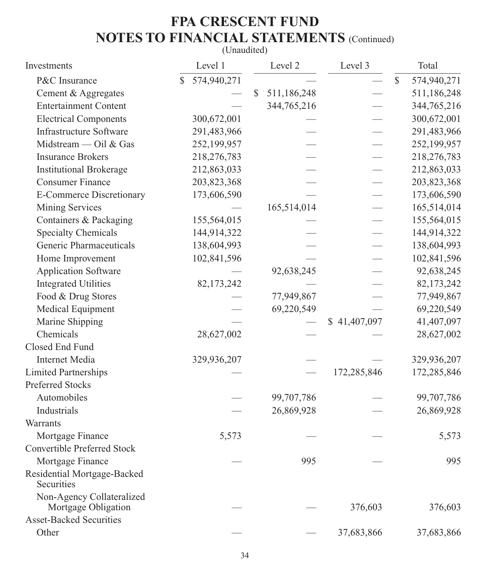### (Unaudited)

| Investments                                      | Level 1                     | Level 2           | Level 3      |              | Total       |
|--------------------------------------------------|-----------------------------|-------------------|--------------|--------------|-------------|
| P&C Insurance                                    | 574,940,271<br>$\mathbb{S}$ |                   |              | $\mathbb{S}$ | 574,940,271 |
| Cement & Aggregates                              |                             | \$<br>511,186,248 |              |              | 511,186,248 |
| <b>Entertainment Content</b>                     |                             | 344,765,216       |              |              | 344,765,216 |
| <b>Electrical Components</b>                     | 300,672,001                 |                   |              |              | 300,672,001 |
| <b>Infrastructure Software</b>                   | 291,483,966                 |                   |              |              | 291,483,966 |
| Midstream — Oil & Gas                            | 252,199,957                 |                   |              |              | 252,199,957 |
| <b>Insurance Brokers</b>                         | 218,276,783                 |                   |              |              | 218,276,783 |
| <b>Institutional Brokerage</b>                   | 212,863,033                 |                   |              |              | 212,863,033 |
| <b>Consumer Finance</b>                          | 203,823,368                 |                   |              |              | 203,823,368 |
| <b>E-Commerce Discretionary</b>                  | 173,606,590                 |                   |              |              | 173,606,590 |
| Mining Services                                  |                             | 165,514,014       |              |              | 165,514,014 |
| Containers & Packaging                           | 155,564,015                 |                   |              |              | 155,564,015 |
| <b>Specialty Chemicals</b>                       | 144,914,322                 |                   |              |              | 144,914,322 |
| Generic Pharmaceuticals                          | 138,604,993                 |                   |              |              | 138,604,993 |
| Home Improvement                                 | 102,841,596                 |                   |              |              | 102,841,596 |
| <b>Application Software</b>                      |                             | 92,638,245        |              |              | 92,638,245  |
| <b>Integrated Utilities</b>                      | 82,173,242                  |                   |              |              | 82,173,242  |
| Food & Drug Stores                               |                             | 77,949,867        |              |              | 77,949,867  |
| Medical Equipment                                |                             | 69,220,549        |              |              | 69,220,549  |
| Marine Shipping                                  |                             |                   | \$41,407,097 |              | 41,407,097  |
| Chemicals                                        | 28,627,002                  |                   |              |              | 28,627,002  |
| Closed End Fund                                  |                             |                   |              |              |             |
| Internet Media                                   | 329,936,207                 |                   |              |              | 329,936,207 |
| <b>Limited Partnerships</b>                      |                             |                   | 172,285,846  |              | 172,285,846 |
| Preferred Stocks                                 |                             |                   |              |              |             |
| Automobiles                                      |                             | 99,707,786        |              |              | 99,707,786  |
| Industrials                                      |                             | 26,869,928        |              |              | 26,869,928  |
| Warrants                                         |                             |                   |              |              |             |
| Mortgage Finance                                 | 5,573                       |                   |              |              | 5,573       |
| Convertible Preferred Stock                      |                             |                   |              |              |             |
| Mortgage Finance                                 |                             | 995               |              |              | 995         |
| Residential Mortgage-Backed<br>Securities        |                             |                   |              |              |             |
| Non-Agency Collateralized<br>Mortgage Obligation |                             |                   | 376,603      |              | 376,603     |
| <b>Asset-Backed Securities</b>                   |                             |                   |              |              |             |
| Other                                            |                             |                   | 37,683,866   |              | 37,683,866  |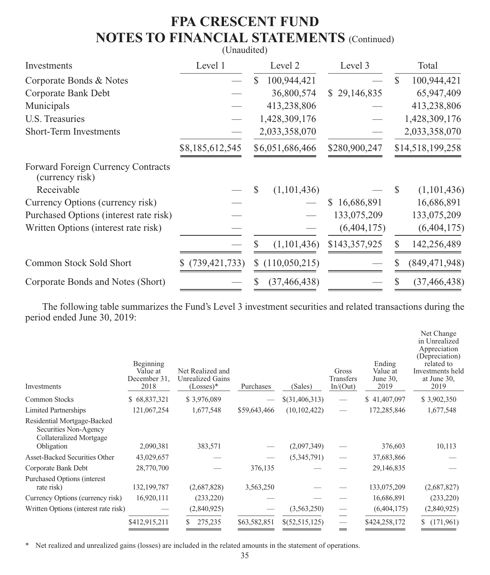#### (Unaudited)

| Investments                                           | Level 1         | Level 2            | Level 3       | Total                        |
|-------------------------------------------------------|-----------------|--------------------|---------------|------------------------------|
| Corporate Bonds & Notes                               |                 | 100,944,421<br>\$. |               | 100,944,421<br>S             |
| Corporate Bank Debt                                   |                 | 36,800,574         | \$29,146,835  | 65,947,409                   |
| Municipals                                            |                 | 413,238,806        |               | 413,238,806                  |
| U.S. Treasuries                                       |                 | 1,428,309,176      |               | 1,428,309,176                |
| Short-Term Investments                                |                 | 2,033,358,070      |               | 2,033,358,070                |
|                                                       | \$8,185,612,545 | \$6,051,686,466    | \$280,900,247 | \$14,518,199,258             |
| Forward Foreign Currency Contracts<br>(currency risk) |                 |                    |               |                              |
| Receivable                                            |                 | (1,101,436)<br>S   |               | (1,101,436)<br><sup>\$</sup> |
| Currency Options (currency risk)                      |                 |                    | \$16,686,891  | 16,686,891                   |
| Purchased Options (interest rate risk)                |                 |                    | 133,075,209   | 133,075,209                  |
| Written Options (interest rate risk)                  |                 |                    | (6,404,175)   | (6,404,175)                  |
|                                                       |                 | \$<br>(1,101,436)  | \$143,357,925 | 142,256,489                  |
| Common Stock Sold Short                               | \$(739,421,733) | \$(110,050,215)    |               | (849, 471, 948)<br>S         |
| Corporate Bonds and Notes (Short)                     |                 | (37, 466, 438)     |               | (37, 466, 438)               |

The following table summarizes the Fund's Level 3 investment securities and related transactions during the period ended June 30, 2019:

| Investments                                                                                   | Beginning<br>Value at<br>December 31,<br>2018 | Net Realized and<br>Unrealized Gains<br>$(Losses)*$ | Purchases    | (Sales)        | Gross<br>Transfers<br>In/(Out) | Ending<br>Value at<br>June 30,<br>2019 | Net Change<br>in Unrealized<br>Appreciation<br>(Depreciation)<br>related to<br>Investments held<br>at June 30,<br>2019 |
|-----------------------------------------------------------------------------------------------|-----------------------------------------------|-----------------------------------------------------|--------------|----------------|--------------------------------|----------------------------------------|------------------------------------------------------------------------------------------------------------------------|
| Common Stocks                                                                                 | \$68,837,321                                  | \$3,976,089                                         |              | \$(31,406,313) |                                | \$41,407,097                           | \$3,902,350                                                                                                            |
| <b>Limited Partnerships</b>                                                                   | 121,067,254                                   | 1,677,548                                           | \$59,643,466 | (10, 102, 422) |                                | 172,285,846                            | 1,677,548                                                                                                              |
| Residential Mortgage-Backed<br>Securities Non-Agency<br>Collateralized Mortgage<br>Obligation | 2,090,381                                     | 383,571                                             |              | (2,097,349)    |                                | 376,603                                | 10,113                                                                                                                 |
| <b>Asset-Backed Securities Other</b>                                                          | 43,029,657                                    |                                                     |              | (5,345,791)    |                                | 37,683,866                             |                                                                                                                        |
| Corporate Bank Debt                                                                           | 28,770,700                                    |                                                     | 376,135      |                |                                | 29,146,835                             |                                                                                                                        |
| <b>Purchased Options (interest)</b><br>rate risk)                                             | 132, 199, 787                                 | (2,687,828)                                         | 3,563,250    |                |                                | 133,075,209                            | (2,687,827)                                                                                                            |
| Currency Options (currency risk)                                                              | 16,920,111                                    | (233, 220)                                          |              |                |                                | 16,686,891                             | (233, 220)                                                                                                             |
| Written Options (interest rate risk)                                                          |                                               | (2,840,925)                                         |              | (3,563,250)    | -                              | (6,404,175)                            | (2,840,925)                                                                                                            |
|                                                                                               | \$412,915,211                                 | 275,235                                             | \$63,582,851 | \$(52,515,125) | =                              | \$424,258,172                          | (171,961)                                                                                                              |
|                                                                                               |                                               |                                                     |              |                |                                |                                        |                                                                                                                        |

\* Net realized and unrealized gains (losses) are included in the related amounts in the statement of operations.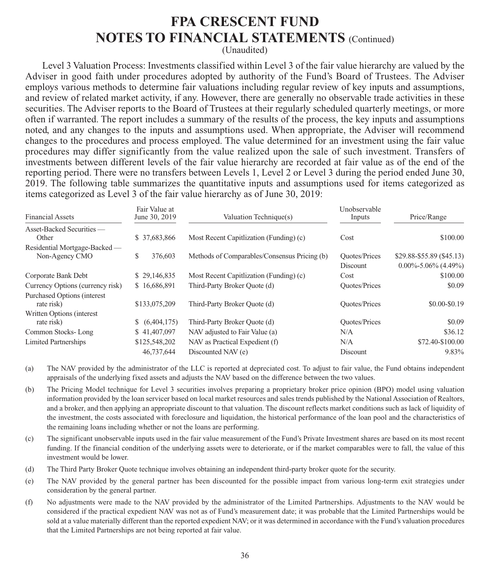(Unaudited)

Level 3 Valuation Process: Investments classified within Level 3 of the fair value hierarchy are valued by the Adviser in good faith under procedures adopted by authority of the Fund's Board of Trustees. The Adviser employs various methods to determine fair valuations including regular review of key inputs and assumptions, and review of related market activity, if any. However, there are generally no observable trade activities in these securities. The Adviser reports to the Board of Trustees at their regularly scheduled quarterly meetings, or more often if warranted. The report includes a summary of the results of the process, the key inputs and assumptions noted, and any changes to the inputs and assumptions used. When appropriate, the Adviser will recommend changes to the procedures and process employed. The value determined for an investment using the fair value procedures may differ significantly from the value realized upon the sale of such investment. Transfers of investments between different levels of the fair value hierarchy are recorded at fair value as of the end of the reporting period. There were no transfers between Levels 1, Level 2 or Level 3 during the period ended June 30, 2019. The following table summarizes the quantitative inputs and assumptions used for items categorized as items categorized as Level 3 of the fair value hierarchy as of June 30, 2019:

| <b>Financial Assets</b>                           | Fair Value at<br>June 30, 2019 | Valuation Technique(s)                       | Unobservable<br>Inputs           | Price/Range                                            |
|---------------------------------------------------|--------------------------------|----------------------------------------------|----------------------------------|--------------------------------------------------------|
| Asset-Backed Securities —<br>Other                | \$37,683,866                   | Most Recent Capitlization (Funding) (c)      | Cost                             | \$100.00                                               |
| Residential Mortgage-Backed —<br>Non-Agency CMO   | S<br>376,603                   | Methods of Comparables/Consensus Pricing (b) | <b>Quotes/Prices</b><br>Discount | \$29.88-\$55.89 (\$45.13)<br>$0.00\% - 5.06\%$ (4.49%) |
| Corporate Bank Debt                               | \$29,146,835                   | Most Recent Capitlization (Funding) (c)      | Cost                             | \$100.00                                               |
| Currency Options (currency risk)                  | \$16,686,891                   | Third-Party Broker Quote (d)                 | <b>Quotes/Prices</b>             | \$0.09                                                 |
| <b>Purchased Options (interest)</b><br>rate risk) | \$133,075,209                  | Third-Party Broker Quote (d)                 | <b>Quotes/Prices</b>             | \$0.00-\$0.19                                          |
| Written Options (interest)<br>rate risk)          | \$ (6,404,175)                 | Third-Party Broker Quote (d)                 | <b>Quotes/Prices</b>             | \$0.09                                                 |
| Common Stocks-Long                                | \$41,407,097                   | NAV adjusted to Fair Value (a)               | N/A                              | \$36.12                                                |
| <b>Limited Partnerships</b>                       | \$125,548,202                  | NAV as Practical Expedient (f)               | N/A                              | \$72.40-\$100.00                                       |
|                                                   | 46,737,644                     | Discounted NAV (e)                           | Discount                         | 9.83%                                                  |

- (a) The NAV provided by the administrator of the LLC is reported at depreciated cost. To adjust to fair value, the Fund obtains independent appraisals of the underlying fixed assets and adjusts the NAV based on the difference between the two values.
- (b) The Pricing Model technique for Level 3 securities involves preparing a proprietary broker price opinion (BPO) model using valuation information provided by the loan servicer based on local market resources and sales trends published by the National Association of Realtors, and a broker, and then applying an appropriate discount to that valuation. The discount reflects market conditions such as lack of liquidity of the investment, the costs associated with foreclosure and liquidation, the historical performance of the loan pool and the characteristics of the remaining loans including whether or not the loans are performing.
- (c) The significant unobservable inputs used in the fair value measurement of the Fund's Private Investment shares are based on its most recent funding. If the financial condition of the underlying assets were to deteriorate, or if the market comparables were to fall, the value of this investment would be lower.
- (d) The Third Party Broker Quote technique involves obtaining an independent third-party broker quote for the security.
- (e) The NAV provided by the general partner has been discounted for the possible impact from various long-term exit strategies under consideration by the general partner.
- (f) No adjustments were made to the NAV provided by the administrator of the Limited Partnerships. Adjustments to the NAV would be considered if the practical expedient NAV was not as of Fund's measurement date; it was probable that the Limited Partnerships would be sold at a value materially different than the reported expedient NAV; or it was determined in accordance with the Fund's valuation procedures that the Limited Partnerships are not being reported at fair value.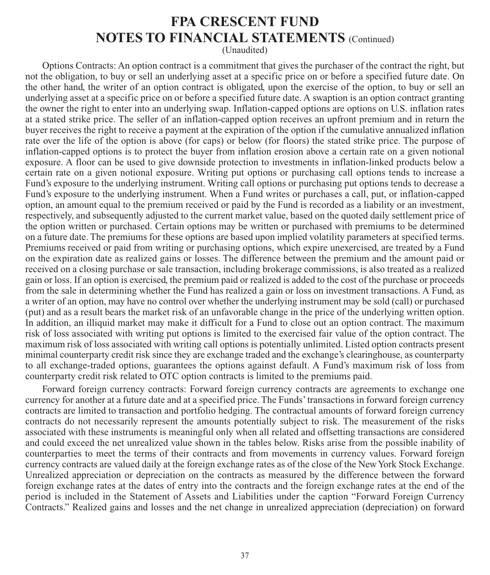(Unaudited)

Options Contracts: An option contract is a commitment that gives the purchaser of the contract the right, but not the obligation, to buy or sell an underlying asset at a specific price on or before a specified future date. On the other hand, the writer of an option contract is obligated, upon the exercise of the option, to buy or sell an underlying asset at a specific price on or before a specified future date. A swaption is an option contract granting the owner the right to enter into an underlying swap. Inflation-capped options are options on U.S. inflation rates at a stated strike price. The seller of an inflation-capped option receives an upfront premium and in return the buyer receives the right to receive a payment at the expiration of the option if the cumulative annualized inflation rate over the life of the option is above (for caps) or below (for floors) the stated strike price. The purpose of inflation-capped options is to protect the buyer from inflation erosion above a certain rate on a given notional exposure. A floor can be used to give downside protection to investments in inflation-linked products below a certain rate on a given notional exposure. Writing put options or purchasing call options tends to increase a Fund's exposure to the underlying instrument. Writing call options or purchasing put options tends to decrease a Fund's exposure to the underlying instrument. When a Fund writes or purchases a call, put, or inflation-capped option, an amount equal to the premium received or paid by the Fund is recorded as a liability or an investment, respectively, and subsequently adjusted to the current market value, based on the quoted daily settlement price of the option written or purchased. Certain options may be written or purchased with premiums to be determined on a future date. The premiums for these options are based upon implied volatility parameters at specified terms. Premiums received or paid from writing or purchasing options, which expire unexercised, are treated by a Fund on the expiration date as realized gains or losses. The difference between the premium and the amount paid or received on a closing purchase or sale transaction, including brokerage commissions, is also treated as a realized gain or loss. If an option is exercised, the premium paid or realized is added to the cost of the purchase or proceeds from the sale in determining whether the Fund has realized a gain or loss on investment transactions. A Fund, as a writer of an option, may have no control over whether the underlying instrument may be sold (call) or purchased (put) and as a result bears the market risk of an unfavorable change in the price of the underlying written option. In addition, an illiquid market may make it difficult for a Fund to close out an option contract. The maximum risk of loss associated with writing put options is limited to the exercised fair value of the option contract. The maximum risk of loss associated with writing call options is potentially unlimited. Listed option contracts present minimal counterparty credit risk since they are exchange traded and the exchange's clearinghouse, as counterparty to all exchange-traded options, guarantees the options against default. A Fund's maximum risk of loss from counterparty credit risk related to OTC option contracts is limited to the premiums paid.

Forward foreign currency contracts: Forward foreign currency contracts are agreements to exchange one currency for another at a future date and at a specified price. The Funds' transactions in forward foreign currency contracts are limited to transaction and portfolio hedging. The contractual amounts of forward foreign currency contracts do not necessarily represent the amounts potentially subject to risk. The measurement of the risks associated with these instruments is meaningful only when all related and offsetting transactions are considered and could exceed the net unrealized value shown in the tables below. Risks arise from the possible inability of counterparties to meet the terms of their contracts and from movements in currency values. Forward foreign currency contracts are valued daily at the foreign exchange rates as of the close of the New York Stock Exchange. Unrealized appreciation or depreciation on the contracts as measured by the difference between the forward foreign exchange rates at the dates of entry into the contracts and the foreign exchange rates at the end of the period is included in the Statement of Assets and Liabilities under the caption "Forward Foreign Currency Contracts." Realized gains and losses and the net change in unrealized appreciation (depreciation) on forward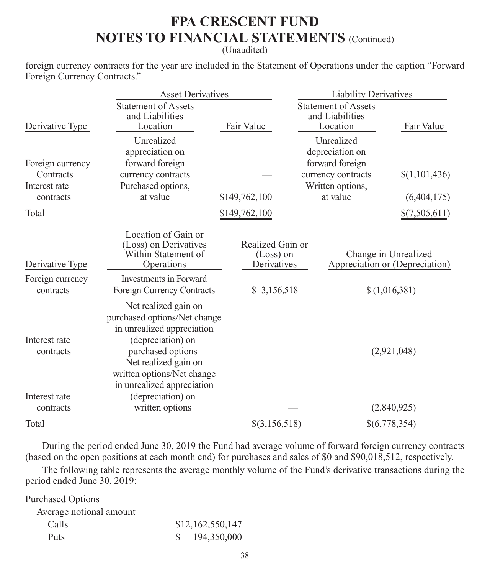(Unaudited)

foreign currency contracts for the year are included in the Statement of Operations under the caption "Forward Foreign Currency Contracts."

|                                             | <b>Asset Derivatives</b>                                                                                                                                                                                         |                                                | <b>Liability Derivatives</b>                                           |                                                        |  |  |
|---------------------------------------------|------------------------------------------------------------------------------------------------------------------------------------------------------------------------------------------------------------------|------------------------------------------------|------------------------------------------------------------------------|--------------------------------------------------------|--|--|
| Derivative Type                             | <b>Statement of Assets</b><br>and Liabilities<br>Location                                                                                                                                                        | Fair Value                                     | <b>Statement of Assets</b><br>and Liabilities<br>Location              | Fair Value                                             |  |  |
| Foreign currency<br>Contracts               | Unrealized<br>appreciation on<br>forward foreign<br>currency contracts                                                                                                                                           |                                                | Unrealized<br>depreciation on<br>forward foreign<br>currency contracts | \$(1,101,436)                                          |  |  |
| Interest rate                               | Purchased options,                                                                                                                                                                                               |                                                | Written options,                                                       |                                                        |  |  |
| contracts                                   | at value                                                                                                                                                                                                         | \$149,762,100                                  | at value                                                               | (6,404,175)                                            |  |  |
| Total                                       |                                                                                                                                                                                                                  | \$149,762,100                                  |                                                                        | \$(7,505,611)                                          |  |  |
| Derivative Type<br>Foreign currency         | Location of Gain or<br>(Loss) on Derivatives<br>Within Statement of<br>Operations<br><b>Investments</b> in Forward                                                                                               | Realized Gain or<br>$(Loss)$ on<br>Derivatives |                                                                        | Change in Unrealized<br>Appreciation or (Depreciation) |  |  |
| contracts                                   | Foreign Currency Contracts                                                                                                                                                                                       | 3,156,518<br>S.                                |                                                                        | \$(1,016,381)                                          |  |  |
| Interest rate<br>contracts<br>Interest rate | Net realized gain on<br>purchased options/Net change<br>in unrealized appreciation<br>(depreciation) on<br>purchased options<br>Net realized gain on<br>written options/Net change<br>in unrealized appreciation |                                                |                                                                        | (2,921,048)                                            |  |  |
| contracts                                   | (depreciation) on<br>written options                                                                                                                                                                             |                                                |                                                                        | (2,840,925)                                            |  |  |
| Total                                       |                                                                                                                                                                                                                  | $$$ (3,156,518)                                |                                                                        | \$(6,778,354)                                          |  |  |

During the period ended June 30, 2019 the Fund had average volume of forward foreign currency contracts (based on the open positions at each month end) for purchases and sales of \$0 and \$90,018,512, respectively.

The following table represents the average monthly volume of the Fund's derivative transactions during the period ended June 30, 2019:

| <b>Purchased Options</b> |                  |
|--------------------------|------------------|
| Average notional amount  |                  |
| Calls                    | \$12,162,550,147 |
| Puts                     | 194,350,000      |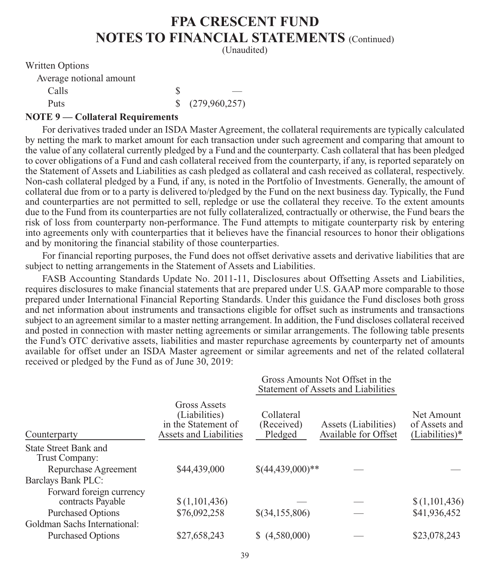(Unaudited)

Written Options

| Average notional amount |                             |
|-------------------------|-----------------------------|
| Calls                   |                             |
| <b>Puts</b>             | $\frac{1}{2}$ (279,960,257) |

#### **NOTE 9 — Collateral Requirements**

For derivatives traded under an ISDA Master Agreement, the collateral requirements are typically calculated by netting the mark to market amount for each transaction under such agreement and comparing that amount to the value of any collateral currently pledged by a Fund and the counterparty. Cash collateral that has been pledged to cover obligations of a Fund and cash collateral received from the counterparty, if any, is reported separately on the Statement of Assets and Liabilities as cash pledged as collateral and cash received as collateral, respectively. Non-cash collateral pledged by a Fund, if any, is noted in the Portfolio of Investments. Generally, the amount of collateral due from or to a party is delivered to/pledged by the Fund on the next business day. Typically, the Fund and counterparties are not permitted to sell, repledge or use the collateral they receive. To the extent amounts due to the Fund from its counterparties are not fully collateralized, contractually or otherwise, the Fund bears the risk of loss from counterparty non-performance. The Fund attempts to mitigate counterparty risk by entering into agreements only with counterparties that it believes have the financial resources to honor their obligations and by monitoring the financial stability of those counterparties.

For financial reporting purposes, the Fund does not offset derivative assets and derivative liabilities that are subject to netting arrangements in the Statement of Assets and Liabilities.

FASB Accounting Standards Update No. 2011-11, Disclosures about Offsetting Assets and Liabilities, requires disclosures to make financial statements that are prepared under U.S. GAAP more comparable to those prepared under International Financial Reporting Standards. Under this guidance the Fund discloses both gross and net information about instruments and transactions eligible for offset such as instruments and transactions subject to an agreement similar to a master netting arrangement. In addition, the Fund discloses collateral received and posted in connection with master netting agreements or similar arrangements. The following table presents the Fund's OTC derivative assets, liabilities and master repurchase agreements by counterparty net of amounts available for offset under an ISDA Master agreement or similar agreements and net of the related collateral received or pledged by the Fund as of June 30, 2019:

 $G_{\text{max}}$  Amounts  $N_{\text{min}}$   $\Omega_{\text{max}}$  in the

|                                         |                                                                                |                                     | Gross Amounts Not Offset in the<br>Statement of Assets and Liabilities |                                                 |
|-----------------------------------------|--------------------------------------------------------------------------------|-------------------------------------|------------------------------------------------------------------------|-------------------------------------------------|
| Counterparty                            | Gross Assets<br>(Liabilities)<br>in the Statement of<br>Assets and Liabilities | Collateral<br>(Received)<br>Pledged | Assets (Liabilities)<br>Available for Offset                           | Net Amount<br>of Assets and<br>$(Liabilities)*$ |
| State Street Bank and<br>Trust Company: |                                                                                |                                     |                                                                        |                                                 |
| Repurchase Agreement                    | \$44,439,000                                                                   | $$(44,439,000)**$                   |                                                                        |                                                 |
| <b>Barclays Bank PLC:</b>               |                                                                                |                                     |                                                                        |                                                 |
| Forward foreign currency                |                                                                                |                                     |                                                                        |                                                 |
| contracts Payable                       | \$(1,101,436)                                                                  |                                     |                                                                        | \$(1,101,436)                                   |
| <b>Purchased Options</b>                | \$76,092,258                                                                   | \$(34,155,806)                      |                                                                        | \$41,936,452                                    |
| Goldman Sachs International:            |                                                                                |                                     |                                                                        |                                                 |
| <b>Purchased Options</b>                | \$27,658,243                                                                   | (4,580,000)                         |                                                                        | \$23,078,243                                    |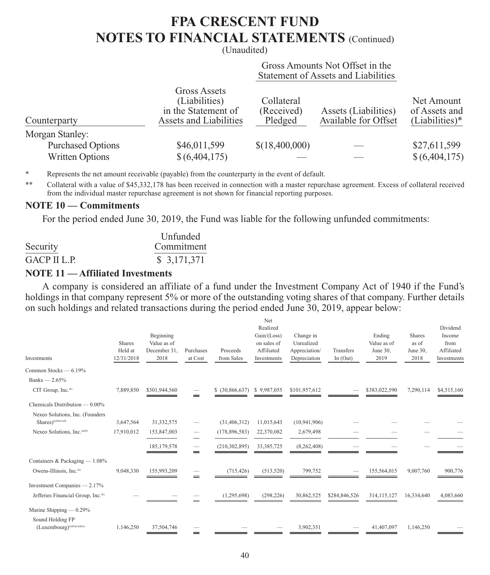(Unaudited)

 Gross Amounts Not Offset in the Statement of Assets and Liabilities

| Counterparty             | <b>Gross Assets</b><br>(Liabilities)<br>in the Statement of<br>Assets and Liabilities | Collateral<br>(Received)<br>Pledged | Assets (Liabilities)<br>Available for Offset | Net Amount<br>of Assets and<br>$(Liabilities)*$ |
|--------------------------|---------------------------------------------------------------------------------------|-------------------------------------|----------------------------------------------|-------------------------------------------------|
| Morgan Stanley:          |                                                                                       |                                     |                                              |                                                 |
| <b>Purchased Options</b> | \$46,011,599                                                                          | \$(18,400,000)                      |                                              | \$27,611,599                                    |
| <b>Written Options</b>   | \$(6,404,175)                                                                         |                                     |                                              | \$(6,404,175)                                   |

\* Represents the net amount receivable (payable) from the counterparty in the event of default.

\*\* Collateral with a value of \$45,332,178 has been received in connection with a master repurchase agreement. Excess of collateral received from the individual master repurchase agreement is not shown for financial reporting purposes.

#### **NOTE 10 — Commitments**

For the period ended June 30, 2019, the Fund was liable for the following unfunded commitments:

|              | Unfunded    |
|--------------|-------------|
| Security     | Commitment  |
| GACP II L.P. | \$3,171,371 |

#### **NOTE 11 — Affiliated Investments**

A company is considered an affiliate of a fund under the Investment Company Act of 1940 if the Fund's holdings in that company represent 5% or more of the outstanding voting shares of that company. Further details on such holdings and related transactions during the period ended June 30, 2019, appear below:

| Realized<br>Gain/(Loss)<br>Beginning<br>Change in                                                                                                                                                       | Ending<br>Value as of | Shares           | Dividend<br>Income        |
|---------------------------------------------------------------------------------------------------------------------------------------------------------------------------------------------------------|-----------------------|------------------|---------------------------|
|                                                                                                                                                                                                         |                       |                  |                           |
|                                                                                                                                                                                                         |                       |                  |                           |
| <b>Shares</b><br>Value as of<br>on sales of<br>Unrealized                                                                                                                                               |                       | as of            | from                      |
| Held at<br>Affiliated<br>December 31,<br>Purchases<br>Proceeds<br>Transfers<br>Appreciation/<br>12/31/2018<br>2018<br>at Cost<br>from Sales<br>Depreciation<br>In $(Out)$<br>Investments<br>Investments | June 30,<br>2019      | June 30,<br>2018 | Affiliated<br>Investments |
| Common Stocks - 6.19%                                                                                                                                                                                   |                       |                  |                           |
| Banks $-2.65%$                                                                                                                                                                                          |                       |                  |                           |
| CIT Group, Inc. <sup>(b)</sup><br>7,889,850<br>\$301,944,560<br>\$ (30,866,637)<br>\$9,987,055<br>\$101,957,612                                                                                         | \$383,022,590         | 7,290,114        | \$4,515,160               |
| Chemicals Distribution — 0.00%                                                                                                                                                                          |                       |                  |                           |
| Nexeo Solutions, Inc. (Founders<br>Shares)(a)(b)(c)(d)<br>3,647,564<br>31,332,575<br>11,015,643<br>(10, 941, 906)<br>(31, 406, 312)                                                                     |                       |                  |                           |
| Nexeo Solutions, Inc.(a)(b)<br>17,910,012<br>153,847,003<br>(178, 896, 583)<br>22,370,082<br>2,679,498<br>$\overline{\phantom{0}}$                                                                      |                       |                  |                           |
| 185, 179, 578<br>(210, 302, 895)<br>33,385,725<br>(8,262,408)                                                                                                                                           |                       |                  |                           |
| Containers & Packaging - 1.08%                                                                                                                                                                          |                       |                  |                           |
| Owens-Illinois, Inc. <sup>(b)</sup><br>9,048,330<br>155,993,209<br>(513, 520)<br>799,752<br>(715, 426)                                                                                                  | 155,564,015           | 9,007,760        | 900,776                   |
| Investment Companies - 2.17%                                                                                                                                                                            |                       |                  |                           |
| Jefferies Financial Group, Inc. <sup>(b)</sup><br>(1,295,698)<br>(298, 226)<br>30,862,525<br>\$284,846,526                                                                                              | 314,115,127           | 16,334,640       | 4,083,660                 |
| Marine Shipping $- 0.29%$                                                                                                                                                                               |                       |                  |                           |
| Sound Holding FP<br>$(Luxembourg)^{(a)(b)(c)(d)(c)}$<br>1,146,250<br>3,902,351<br>37,504,746                                                                                                            | 41,407,097            | 1,146,250        |                           |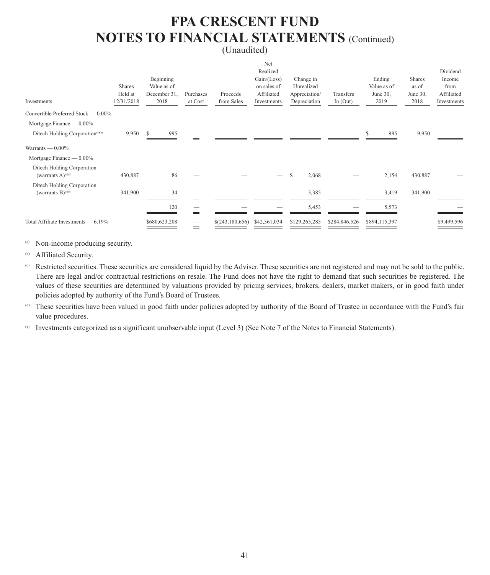#### (Unaudited)

| Investments                                                    | Shares<br>Held at<br>12/31/2018 | Beginning<br>Value as of<br>December 31,<br>2018 | Purchases<br>at Cost | Proceeds<br>from Sales | Net<br>Realized<br>Gain / (Loss)<br>on sales of<br>Affiliated<br>Investments | Change in<br>Unrealized<br>Appreciation/<br>Depreciation | Transfers<br>In $(Out)$ | Ending<br>Value as of<br>June 30,<br>2019 | Shares<br>as of<br>June 30,<br>2018 | Dividend<br>Income<br>from<br>Affiliated<br>Investments |
|----------------------------------------------------------------|---------------------------------|--------------------------------------------------|----------------------|------------------------|------------------------------------------------------------------------------|----------------------------------------------------------|-------------------------|-------------------------------------------|-------------------------------------|---------------------------------------------------------|
| Convertible Preferred Stock — 0.00%                            |                                 |                                                  |                      |                        |                                                                              |                                                          |                         |                                           |                                     |                                                         |
| Mortgage Finance $- 0.00\%$                                    |                                 |                                                  |                      |                        |                                                                              |                                                          |                         |                                           |                                     |                                                         |
| Ditech Holding Corporation <sup>(a)(b)</sup>                   | 9,950                           | 995<br>S                                         |                      |                        |                                                                              |                                                          |                         | 995                                       | 9,950                               |                                                         |
| Warrants $- 0.00\%$                                            |                                 |                                                  |                      |                        |                                                                              |                                                          |                         |                                           |                                     |                                                         |
| Mortgage Finance $- 0.00\%$                                    |                                 |                                                  |                      |                        |                                                                              |                                                          |                         |                                           |                                     |                                                         |
| Ditech Holding Corporation<br>(warrants $A)$ <sup>(a)(b)</sup> | 430,887                         | 86                                               |                      |                        |                                                                              | \$.<br>2,068                                             |                         | 2,154                                     | 430,887                             |                                                         |
| Ditech Holding Corporation                                     |                                 |                                                  |                      |                        |                                                                              |                                                          |                         |                                           |                                     |                                                         |
| (warrants $B)$ <sup>(a)(b)</sup>                               | 341,900                         | 34                                               |                      |                        |                                                                              | 3,385                                                    |                         | 3,419                                     | 341,900                             |                                                         |
|                                                                |                                 | 120                                              |                      |                        |                                                                              | 5,453                                                    |                         | 5,573                                     |                                     |                                                         |
| Total Affiliate Investments — 6.19%                            |                                 | \$680,623,208                                    | =                    | \$(243,180,656)        | \$42,561,034                                                                 | \$129,265,285                                            | \$284,846,526           | \$894,115,397                             |                                     | \$9,499,596                                             |
|                                                                |                                 |                                                  |                      |                        |                                                                              |                                                          |                         |                                           |                                     |                                                         |

(a) Non-income producing security.

(b) Affiliated Security.

(c) Restricted securities. These securities are considered liquid by the Adviser. These securities are not registered and may not be sold to the public. There are legal and/or contractual restrictions on resale. The Fund does not have the right to demand that such securities be registered. The values of these securities are determined by valuations provided by pricing services, brokers, dealers, market makers, or in good faith under policies adopted by authority of the Fund's Board of Trustees.

(d) These securities have been valued in good faith under policies adopted by authority of the Board of Trustee in accordance with the Fund's fair value procedures.

(e) Investments categorized as a significant unobservable input (Level 3) (See Note 7 of the Notes to Financial Statements).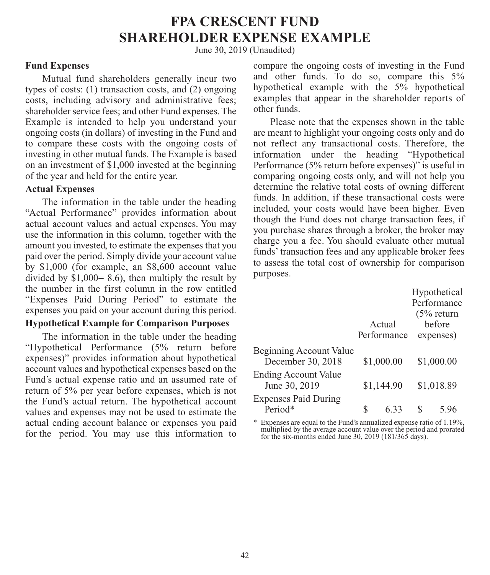# **FPA CRESCENT FUND SHAREHOLDER EXPENSE EXAMPLE**

June 30, 2019 (Unaudited)

#### **Fund Expenses**

Mutual fund shareholders generally incur two types of costs: (1) transaction costs, and (2) ongoing costs, including advisory and administrative fees; shareholder service fees; and other Fund expenses. The Example is intended to help you understand your ongoing costs (in dollars) of investing in the Fund and to compare these costs with the ongoing costs of investing in other mutual funds. The Example is based on an investment of \$1,000 invested at the beginning of the year and held for the entire year.

#### **Actual Expenses**

The information in the table under the heading "Actual Performance" provides information about actual account values and actual expenses. You may use the information in this column, together with the amount you invested, to estimate the expenses that you paid over the period. Simply divide your account value by \$1,000 (for example, an \$8,600 account value divided by  $$1,000 = 8.6$ , then multiply the result by the number in the first column in the row entitled "Expenses Paid During Period" to estimate the expenses you paid on your account during this period.

#### **Hypothetical Example for Comparison Purposes**

The information in the table under the heading "Hypothetical Performance (5% return before expenses)" provides information about hypothetical account values and hypothetical expenses based on the Fund's actual expense ratio and an assumed rate of return of 5% per year before expenses, which is not the Fund's actual return. The hypothetical account values and expenses may not be used to estimate the actual ending account balance or expenses you paid for the period. You may use this information to

compare the ongoing costs of investing in the Fund and other funds. To do so, compare this 5% hypothetical example with the 5% hypothetical examples that appear in the shareholder reports of other funds.

Please note that the expenses shown in the table are meant to highlight your ongoing costs only and do not reflect any transactional costs. Therefore, the information under the heading "Hypothetical Performance (5% return before expenses)" is useful in comparing ongoing costs only, and will not help you determine the relative total costs of owning different funds. In addition, if these transactional costs were included, your costs would have been higher. Even though the Fund does not charge transaction fees, if you purchase shares through a broker, the broker may charge you a fee. You should evaluate other mutual funds' transaction fees and any applicable broker fees to assess the total cost of ownership for comparison purposes.

|                                              |   |             | Hypothetical |
|----------------------------------------------|---|-------------|--------------|
|                                              |   |             | Performance  |
|                                              |   |             | $(5%$ return |
|                                              |   | Actual      | before       |
|                                              |   | Performance | expenses)    |
| Beginning Account Value<br>December 30, 2018 |   | \$1,000.00  | \$1,000.00   |
| <b>Ending Account Value</b><br>June 30, 2019 |   | \$1,144.90  | \$1,018.89   |
| <b>Expenses Paid During</b><br>Period*       | S | 633         | 5 96         |

\* Expenses are equal to the Fund's annualized expense ratio of 1.19%, multiplied by the average account value over the period and prorated for the six-months ended June 30, 2019 (181/365 days).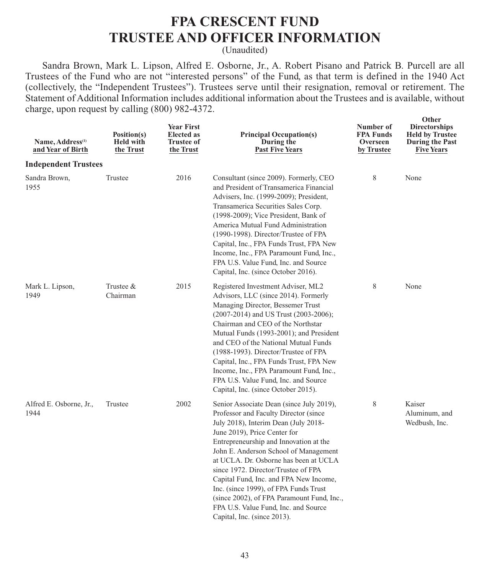### **FPA CRESCENT FUND TRUSTEE AND OFFICER INFORMATION**

(Unaudited)

Sandra Brown, Mark L. Lipson, Alfred E. Osborne, Jr., A. Robert Pisano and Patrick B. Purcell are all Trustees of the Fund who are not "interested persons" of the Fund, as that term is defined in the 1940 Act (collectively, the "Independent Trustees"). Trustees serve until their resignation, removal or retirement. The Statement of Additional Information includes additional information about the Trustees and is available, without charge, upon request by calling (800) 982-4372.

| Name, Address <sup>(1)</sup><br>and Year of Birth | Position(s)<br><b>Held with</b><br>the Trust | <b>Year First</b><br><b>Elected</b> as<br><b>Trustee of</b><br>the Trust | <b>Principal Occupation(s)</b><br>During the<br><b>Past Five Years</b>                                                                                                                                                                                                                                                                                                                                                                                                                                                               | Number of<br><b>FPA Funds</b><br>Overseen<br>by Trustee | Other<br><b>Directorships</b><br><b>Held by Trustee</b><br>During the Past<br><b>Five Years</b> |
|---------------------------------------------------|----------------------------------------------|--------------------------------------------------------------------------|--------------------------------------------------------------------------------------------------------------------------------------------------------------------------------------------------------------------------------------------------------------------------------------------------------------------------------------------------------------------------------------------------------------------------------------------------------------------------------------------------------------------------------------|---------------------------------------------------------|-------------------------------------------------------------------------------------------------|
| <b>Independent Trustees</b>                       |                                              |                                                                          |                                                                                                                                                                                                                                                                                                                                                                                                                                                                                                                                      |                                                         |                                                                                                 |
| Sandra Brown,<br>1955                             | Trustee                                      | 2016                                                                     | Consultant (since 2009). Formerly, CEO<br>and President of Transamerica Financial<br>Advisers, Inc. (1999-2009); President,<br>Transamerica Securities Sales Corp.<br>(1998-2009); Vice President, Bank of<br>America Mutual Fund Administration<br>(1990-1998). Director/Trustee of FPA<br>Capital, Inc., FPA Funds Trust, FPA New<br>Income, Inc., FPA Paramount Fund, Inc.,<br>FPA U.S. Value Fund, Inc. and Source<br>Capital, Inc. (since October 2016).                                                                        | 8                                                       | None                                                                                            |
| Mark L. Lipson,<br>1949                           | Trustee &<br>Chairman                        | 2015                                                                     | Registered Investment Adviser, ML2<br>Advisors, LLC (since 2014). Formerly<br>Managing Director, Bessemer Trust<br>(2007-2014) and US Trust (2003-2006);<br>Chairman and CEO of the Northstar<br>Mutual Funds (1993-2001); and President<br>and CEO of the National Mutual Funds<br>(1988-1993). Director/Trustee of FPA<br>Capital, Inc., FPA Funds Trust, FPA New<br>Income, Inc., FPA Paramount Fund, Inc.,<br>FPA U.S. Value Fund, Inc. and Source<br>Capital, Inc. (since October 2015).                                        | 8                                                       | None                                                                                            |
| Alfred E. Osborne, Jr.,<br>1944                   | Trustee                                      | 2002                                                                     | Senior Associate Dean (since July 2019),<br>Professor and Faculty Director (since<br>July 2018), Interim Dean (July 2018-<br>June 2019), Price Center for<br>Entrepreneurship and Innovation at the<br>John E. Anderson School of Management<br>at UCLA. Dr. Osborne has been at UCLA<br>since 1972. Director/Trustee of FPA<br>Capital Fund, Inc. and FPA New Income,<br>Inc. (since 1999), of FPA Funds Trust<br>(since 2002), of FPA Paramount Fund, Inc.,<br>FPA U.S. Value Fund, Inc. and Source<br>Capital, Inc. (since 2013). | 8                                                       | Kaiser<br>Aluminum, and<br>Wedbush, Inc.                                                        |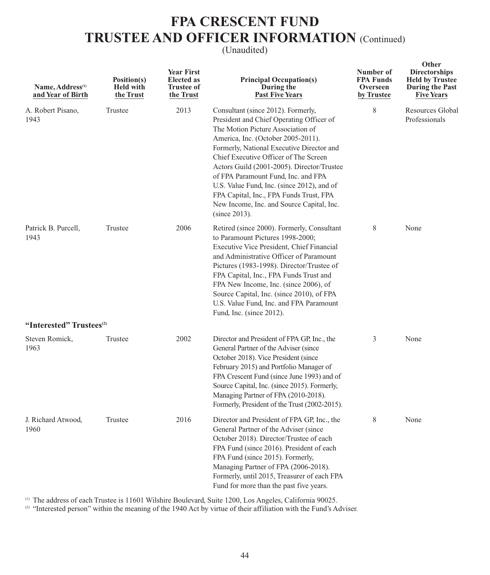### **FPA CRESCENT FUND TRUSTEE AND OFFICER INFORMATION** (Continued)

#### (Unaudited)

| Name, Address <sup>(1)</sup><br>and Year of Birth | Position(s)<br><b>Held with</b><br>the Trust | <b>Year First</b><br><b>Elected</b> as<br><b>Trustee of</b><br>the Trust | <b>Principal Occupation(s)</b><br>During the<br><b>Past Five Years</b>                                                                                                                                                                                                                                                                                                                                                                                                                         | Number of<br><b>FPA Funds</b><br>Overseen<br>by Trustee | Other<br><b>Directorships</b><br><b>Held by Trustee</b><br><b>During the Past</b><br><b>Five Years</b> |
|---------------------------------------------------|----------------------------------------------|--------------------------------------------------------------------------|------------------------------------------------------------------------------------------------------------------------------------------------------------------------------------------------------------------------------------------------------------------------------------------------------------------------------------------------------------------------------------------------------------------------------------------------------------------------------------------------|---------------------------------------------------------|--------------------------------------------------------------------------------------------------------|
| A. Robert Pisano,<br>1943                         | Trustee                                      | 2013                                                                     | Consultant (since 2012). Formerly,<br>President and Chief Operating Officer of<br>The Motion Picture Association of<br>America, Inc. (October 2005-2011).<br>Formerly, National Executive Director and<br>Chief Executive Officer of The Screen<br>Actors Guild (2001-2005). Director/Trustee<br>of FPA Paramount Fund, Inc. and FPA<br>U.S. Value Fund, Inc. (since 2012), and of<br>FPA Capital, Inc., FPA Funds Trust, FPA<br>New Income, Inc. and Source Capital, Inc.<br>$(since 2013)$ . | 8                                                       | <b>Resources Global</b><br>Professionals                                                               |
| Patrick B. Purcell,<br>1943                       | Trustee                                      | 2006                                                                     | Retired (since 2000). Formerly, Consultant<br>to Paramount Pictures 1998-2000;<br>Executive Vice President, Chief Financial<br>and Administrative Officer of Paramount<br>Pictures (1983-1998). Director/Trustee of<br>FPA Capital, Inc., FPA Funds Trust and<br>FPA New Income, Inc. (since 2006), of<br>Source Capital, Inc. (since 2010), of FPA<br>U.S. Value Fund, Inc. and FPA Paramount<br>Fund, Inc. (since 2012).                                                                     | 8                                                       | None                                                                                                   |
| "Interested" Trustees <sup>(2)</sup>              |                                              |                                                                          |                                                                                                                                                                                                                                                                                                                                                                                                                                                                                                |                                                         |                                                                                                        |
| Steven Romick,<br>1963                            | Trustee                                      | 2002                                                                     | Director and President of FPA GP, Inc., the<br>General Partner of the Adviser (since<br>October 2018). Vice President (since<br>February 2015) and Portfolio Manager of<br>FPA Crescent Fund (since June 1993) and of<br>Source Capital, Inc. (since 2015). Formerly,<br>Managing Partner of FPA (2010-2018).<br>Formerly, President of the Trust (2002-2015).                                                                                                                                 | 3                                                       | None                                                                                                   |
| J. Richard Atwood,<br>1960                        | Trustee                                      | 2016                                                                     | Director and President of FPA GP, Inc., the<br>General Partner of the Adviser (since<br>October 2018). Director/Trustee of each<br>FPA Fund (since 2016). President of each<br>FPA Fund (since 2015). Formerly,<br>Managing Partner of FPA (2006-2018).<br>Formerly, until 2015, Treasurer of each FPA<br>Fund for more than the past five years.                                                                                                                                              | 8                                                       | None                                                                                                   |

(1) The address of each Trustee is 11601 Wilshire Boulevard, Suite 1200, Los Angeles, California 90025.

(2) "Interested person" within the meaning of the 1940 Act by virtue of their affiliation with the Fund's Adviser.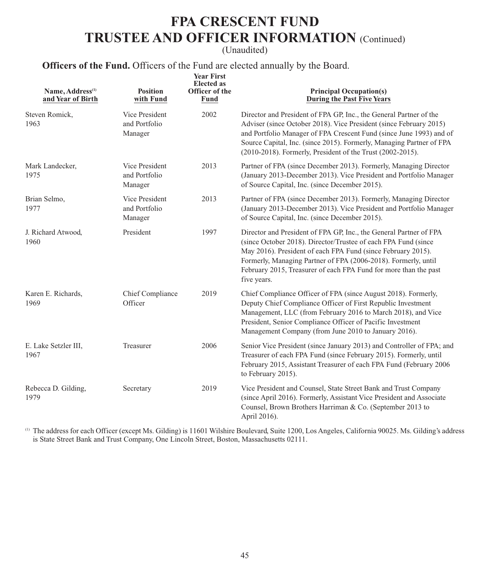### **FPA CRESCENT FUND TRUSTEE AND OFFICER INFORMATION** (Continued)

(Unaudited)

### **Officers of the Fund.** Officers of the Fund are elected annually by the Board.

| Name, Address <sup>(1)</sup><br>and Year of Birth | <b>Position</b><br>with Fund               | <b>Year First</b><br><b>Elected</b> as<br>Officer of the<br>Fund | <b>Principal Occupation(s)</b><br>During the Past Five Years                                                                                                                                                                                                                                                                                              |
|---------------------------------------------------|--------------------------------------------|------------------------------------------------------------------|-----------------------------------------------------------------------------------------------------------------------------------------------------------------------------------------------------------------------------------------------------------------------------------------------------------------------------------------------------------|
| Steven Romick,<br>1963                            | Vice President<br>and Portfolio<br>Manager | 2002                                                             | Director and President of FPA GP, Inc., the General Partner of the<br>Adviser (since October 2018). Vice President (since February 2015)<br>and Portfolio Manager of FPA Crescent Fund (since June 1993) and of<br>Source Capital, Inc. (since 2015). Formerly, Managing Partner of FPA<br>(2010-2018). Formerly, President of the Trust (2002-2015).     |
| Mark Landecker.<br>1975                           | Vice President<br>and Portfolio<br>Manager | 2013                                                             | Partner of FPA (since December 2013). Formerly, Managing Director<br>(January 2013-December 2013). Vice President and Portfolio Manager<br>of Source Capital, Inc. (since December 2015).                                                                                                                                                                 |
| Brian Selmo,<br>1977                              | Vice President<br>and Portfolio<br>Manager | 2013                                                             | Partner of FPA (since December 2013). Formerly, Managing Director<br>(January 2013-December 2013). Vice President and Portfolio Manager<br>of Source Capital, Inc. (since December 2015).                                                                                                                                                                 |
| J. Richard Atwood,<br>1960                        | President                                  | 1997                                                             | Director and President of FPA GP, Inc., the General Partner of FPA<br>(since October 2018). Director/Trustee of each FPA Fund (since<br>May 2016). President of each FPA Fund (since February 2015).<br>Formerly, Managing Partner of FPA (2006-2018). Formerly, until<br>February 2015, Treasurer of each FPA Fund for more than the past<br>five years. |
| Karen E. Richards,<br>1969                        | Chief Compliance<br>Officer                | 2019                                                             | Chief Compliance Officer of FPA (since August 2018). Formerly,<br>Deputy Chief Compliance Officer of First Republic Investment<br>Management, LLC (from February 2016 to March 2018), and Vice<br>President, Senior Compliance Officer of Pacific Investment<br>Management Company (from June 2010 to January 2016).                                      |
| E. Lake Setzler III,<br>1967                      | Treasurer                                  | 2006                                                             | Senior Vice President (since January 2013) and Controller of FPA; and<br>Treasurer of each FPA Fund (since February 2015). Formerly, until<br>February 2015, Assistant Treasurer of each FPA Fund (February 2006<br>to February 2015).                                                                                                                    |
| Rebecca D. Gilding,<br>1979                       | Secretary                                  | 2019                                                             | Vice President and Counsel, State Street Bank and Trust Company<br>(since April 2016). Formerly, Assistant Vice President and Associate<br>Counsel, Brown Brothers Harriman & Co. (September 2013 to<br>April 2016).                                                                                                                                      |

 (1) The address for each Officer (except Ms. Gilding) is 11601 Wilshire Boulevard, Suite 1200, Los Angeles, California 90025. Ms. Gilding's address is State Street Bank and Trust Company, One Lincoln Street, Boston, Massachusetts 02111.